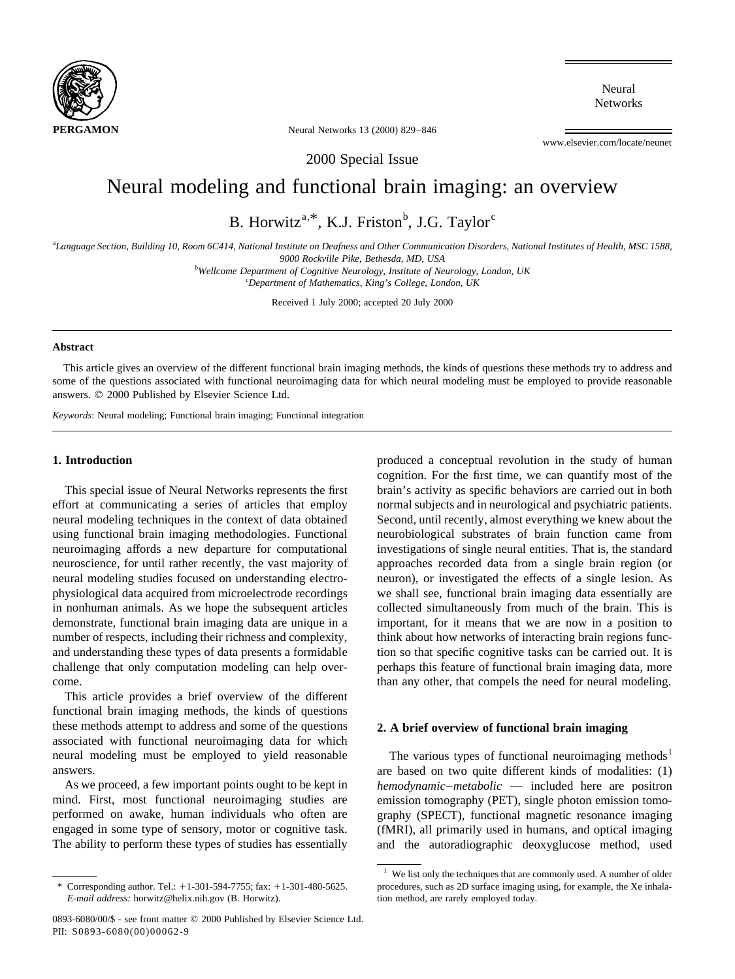

Neural **Networks** 

**PERGAMON** Neural Networks 13 (2000) 829–846

www.elsevier.com/locate/neunet

2000 Special Issue

# Neural modeling and functional brain imaging: an overview

B. Horwitz<sup>a,\*</sup>, K.J. Friston<sup>b</sup>, J.G. Taylor<sup>c</sup>

a *Language Section, Building 10, Room 6C414, National Institute on Deafness and Other Communication Disorders, National Institutes of Health, MSC 1588, 9000 Rockville Pike, Bethesda, MD, USA*

b *Wellcome Department of Cognitive Neurology, Institute of Neurology, London, UK*

c *Department of Mathematics, King's College, London, UK*

Received 1 July 2000; accepted 20 July 2000

### **Abstract**

This article gives an overview of the different functional brain imaging methods, the kinds of questions these methods try to address and some of the questions associated with functional neuroimaging data for which neural modeling must be employed to provide reasonable answers.  $© 2000$  Published by Elsevier Science Ltd.

*Keywords*: Neural modeling; Functional brain imaging; Functional integration

#### **1. Introduction**

This special issue of Neural Networks represents the first effort at communicating a series of articles that employ neural modeling techniques in the context of data obtained using functional brain imaging methodologies. Functional neuroimaging affords a new departure for computational neuroscience, for until rather recently, the vast majority of neural modeling studies focused on understanding electrophysiological data acquired from microelectrode recordings in nonhuman animals. As we hope the subsequent articles demonstrate, functional brain imaging data are unique in a number of respects, including their richness and complexity, and understanding these types of data presents a formidable challenge that only computation modeling can help overcome.

This article provides a brief overview of the different functional brain imaging methods, the kinds of questions these methods attempt to address and some of the questions associated with functional neuroimaging data for which neural modeling must be employed to yield reasonable answers.

As we proceed, a few important points ought to be kept in mind. First, most functional neuroimaging studies are performed on awake, human individuals who often are engaged in some type of sensory, motor or cognitive task. The ability to perform these types of studies has essentially

produced a conceptual revolution in the study of human cognition. For the first time, we can quantify most of the brain's activity as specific behaviors are carried out in both normal subjects and in neurological and psychiatric patients. Second, until recently, almost everything we knew about the neurobiological substrates of brain function came from investigations of single neural entities. That is, the standard approaches recorded data from a single brain region (or neuron), or investigated the effects of a single lesion. As we shall see, functional brain imaging data essentially are collected simultaneously from much of the brain. This is important, for it means that we are now in a position to think about how networks of interacting brain regions function so that specific cognitive tasks can be carried out. It is perhaps this feature of functional brain imaging data, more than any other, that compels the need for neural modeling.

#### **2. A brief overview of functional brain imaging**

The various types of functional neuroimaging methods<sup>1</sup> are based on two quite different kinds of modalities: (1) *hemodynamic–metabolic* — included here are positron emission tomography (PET), single photon emission tomography (SPECT), functional magnetic resonance imaging (fMRI), all primarily used in humans, and optical imaging and the autoradiographic deoxyglucose method, used

Corresponding author. Tel.:  $+1-301-594-7755$ ; fax:  $+1-301-480-5625$ . *E-mail address:* horwitz@helix.nih.gov (B. Horwitz).

<sup>0893-6080/00/\$ -</sup> see front matter © 2000 Published by Elsevier Science Ltd. PII: S0893-6080(00)00062-9

 $1$  We list only the techniques that are commonly used. A number of older procedures, such as 2D surface imaging using, for example, the Xe inhalation method, are rarely employed today.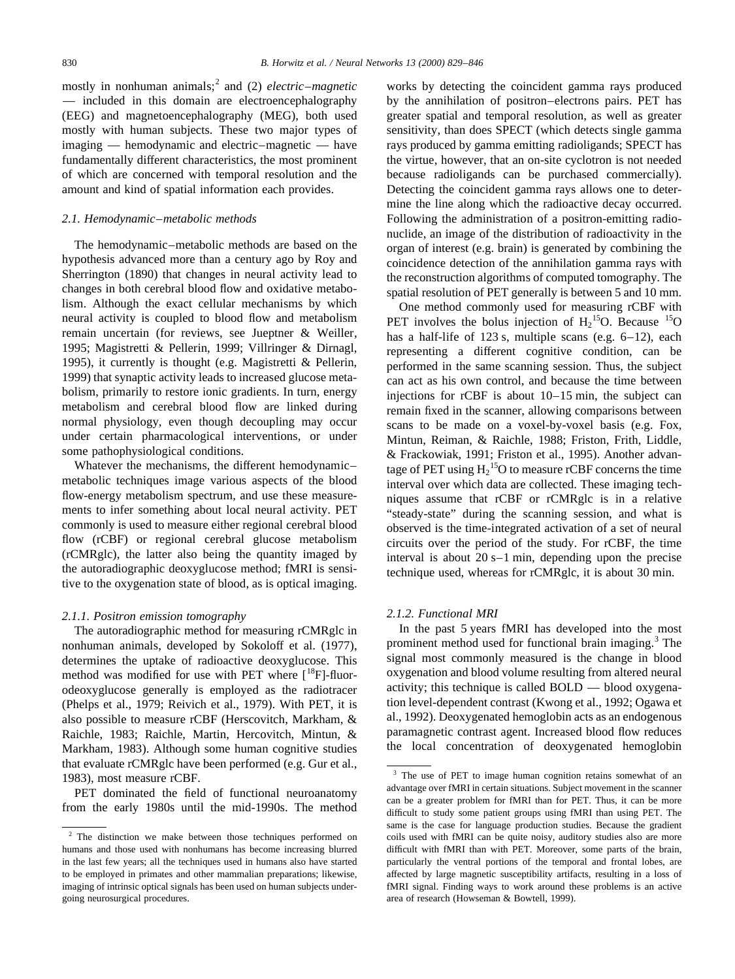mostly in nonhuman animals;<sup>2</sup> and (2) *electric–magnetic* — included in this domain are electroencephalography (EEG) and magnetoencephalography (MEG), both used mostly with human subjects. These two major types of imaging — hemodynamic and electric–magnetic — have fundamentally different characteristics, the most prominent of which are concerned with temporal resolution and the amount and kind of spatial information each provides.

#### *2.1. Hemodynamic–metabolic methods*

The hemodynamic–metabolic methods are based on the hypothesis advanced more than a century ago by Roy and Sherrington (1890) that changes in neural activity lead to changes in both cerebral blood flow and oxidative metabolism. Although the exact cellular mechanisms by which neural activity is coupled to blood flow and metabolism remain uncertain (for reviews, see Jueptner & Weiller, 1995; Magistretti & Pellerin, 1999; Villringer & Dirnagl, 1995), it currently is thought (e.g. Magistretti & Pellerin, 1999) that synaptic activity leads to increased glucose metabolism, primarily to restore ionic gradients. In turn, energy metabolism and cerebral blood flow are linked during normal physiology, even though decoupling may occur under certain pharmacological interventions, or under some pathophysiological conditions.

Whatever the mechanisms, the different hemodynamic– metabolic techniques image various aspects of the blood flow-energy metabolism spectrum, and use these measurements to infer something about local neural activity. PET commonly is used to measure either regional cerebral blood flow (rCBF) or regional cerebral glucose metabolism (rCMRglc), the latter also being the quantity imaged by the autoradiographic deoxyglucose method; fMRI is sensitive to the oxygenation state of blood, as is optical imaging.

#### *2.1.1. Positron emission tomography*

The autoradiographic method for measuring rCMRglc in nonhuman animals, developed by Sokoloff et al. (1977), determines the uptake of radioactive deoxyglucose. This method was modified for use with PET where  $\lceil \sqrt[18]{F} \rceil$ -fluorodeoxyglucose generally is employed as the radiotracer (Phelps et al., 1979; Reivich et al., 1979). With PET, it is also possible to measure rCBF (Herscovitch, Markham, & Raichle, 1983; Raichle, Martin, Hercovitch, Mintun, & Markham, 1983). Although some human cognitive studies that evaluate rCMRglc have been performed (e.g. Gur et al., 1983), most measure rCBF.

PET dominated the field of functional neuroanatomy from the early 1980s until the mid-1990s. The method works by detecting the coincident gamma rays produced by the annihilation of positron–electrons pairs. PET has greater spatial and temporal resolution, as well as greater sensitivity, than does SPECT (which detects single gamma rays produced by gamma emitting radioligands; SPECT has the virtue, however, that an on-site cyclotron is not needed because radioligands can be purchased commercially). Detecting the coincident gamma rays allows one to determine the line along which the radioactive decay occurred. Following the administration of a positron-emitting radionuclide, an image of the distribution of radioactivity in the organ of interest (e.g. brain) is generated by combining the coincidence detection of the annihilation gamma rays with the reconstruction algorithms of computed tomography. The spatial resolution of PET generally is between 5 and 10 mm.

One method commonly used for measuring rCBF with PET involves the bolus injection of  $H_2$ <sup>15</sup>O. Because <sup>15</sup>O has a half-life of 123 s, multiple scans (e.g. 6–12), each representing a different cognitive condition, can be performed in the same scanning session. Thus, the subject can act as his own control, and because the time between injections for rCBF is about 10–15 min, the subject can remain fixed in the scanner, allowing comparisons between scans to be made on a voxel-by-voxel basis (e.g. Fox, Mintun, Reiman, & Raichle, 1988; Friston, Frith, Liddle, & Frackowiak, 1991; Friston et al., 1995). Another advantage of PET using  $H_2^{15}O$  to measure rCBF concerns the time interval over which data are collected. These imaging techniques assume that rCBF or rCMRglc is in a relative "steady-state" during the scanning session, and what is observed is the time-integrated activation of a set of neural circuits over the period of the study. For rCBF, the time interval is about 20 s–1 min, depending upon the precise technique used, whereas for rCMRglc, it is about 30 min.

#### *2.1.2. Functional MRI*

In the past 5 years fMRI has developed into the most prominent method used for functional brain imaging. $3$  The signal most commonly measured is the change in blood oxygenation and blood volume resulting from altered neural activity; this technique is called BOLD — blood oxygenation level-dependent contrast (Kwong et al., 1992; Ogawa et al., 1992). Deoxygenated hemoglobin acts as an endogenous paramagnetic contrast agent. Increased blood flow reduces the local concentration of deoxygenated hemoglobin

<sup>&</sup>lt;sup>2</sup> The distinction we make between those techniques performed on humans and those used with nonhumans has become increasing blurred in the last few years; all the techniques used in humans also have started to be employed in primates and other mammalian preparations; likewise, imaging of intrinsic optical signals has been used on human subjects undergoing neurosurgical procedures.

The use of PET to image human cognition retains somewhat of an advantage over fMRI in certain situations. Subject movement in the scanner can be a greater problem for fMRI than for PET. Thus, it can be more difficult to study some patient groups using fMRI than using PET. The same is the case for language production studies. Because the gradient coils used with fMRI can be quite noisy, auditory studies also are more difficult with fMRI than with PET. Moreover, some parts of the brain, particularly the ventral portions of the temporal and frontal lobes, are affected by large magnetic susceptibility artifacts, resulting in a loss of fMRI signal. Finding ways to work around these problems is an active area of research (Howseman & Bowtell, 1999).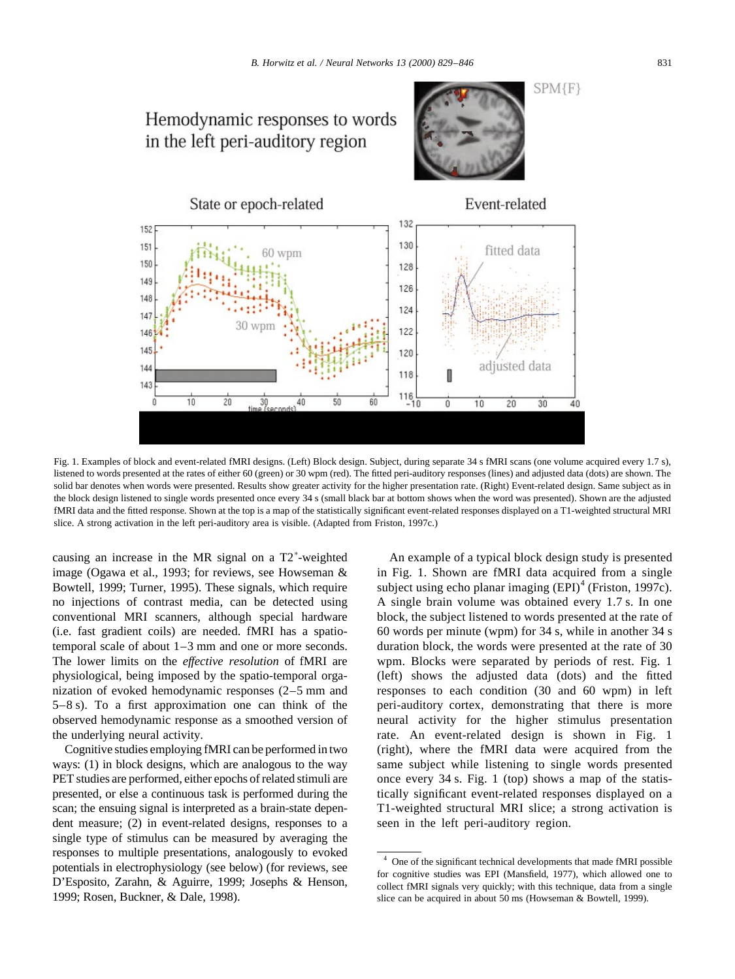

Fig. 1. Examples of block and event-related fMRI designs. (Left) Block design. Subject, during separate 34 s fMRI scans (one volume acquired every 1.7 s), listened to words presented at the rates of either 60 (green) or 30 wpm (red). The fitted peri-auditory responses (lines) and adjusted data (dots) are shown. The solid bar denotes when words were presented. Results show greater activity for the higher presentation rate. (Right) Event-related design. Same subject as in the block design listened to single words presented once every 34 s (small black bar at bottom shows when the word was presented). Shown are the adjusted fMRI data and the fitted response. Shown at the top is a map of the statistically significant event-related responses displayed on a T1-weighted structural MRI slice. A strong activation in the left peri-auditory area is visible. (Adapted from Friston, 1997c.)

causing an increase in the MR signal on a  $T2^*$ -weighted image (Ogawa et al., 1993; for reviews, see Howseman & Bowtell, 1999; Turner, 1995). These signals, which require no injections of contrast media, can be detected using conventional MRI scanners, although special hardware (i.e. fast gradient coils) are needed. fMRI has a spatiotemporal scale of about 1–3 mm and one or more seconds. The lower limits on the *effective resolution* of fMRI are physiological, being imposed by the spatio-temporal organization of evoked hemodynamic responses (2–5 mm and 5–8 s). To a first approximation one can think of the observed hemodynamic response as a smoothed version of the underlying neural activity.

Cognitive studies employing fMRI can be performed in two ways: (1) in block designs, which are analogous to the way PET studies are performed, either epochs of related stimuli are presented, or else a continuous task is performed during the scan; the ensuing signal is interpreted as a brain-state dependent measure; (2) in event-related designs, responses to a single type of stimulus can be measured by averaging the responses to multiple presentations, analogously to evoked potentials in electrophysiology (see below) (for reviews, see D'Esposito, Zarahn, & Aguirre, 1999; Josephs & Henson, 1999; Rosen, Buckner, & Dale, 1998).

An example of a typical block design study is presented in Fig. 1. Shown are fMRI data acquired from a single subject using echo planar imaging  $(EPI)^4$  (Friston, 1997c). A single brain volume was obtained every 1.7 s. In one block, the subject listened to words presented at the rate of 60 words per minute (wpm) for 34 s, while in another 34 s duration block, the words were presented at the rate of 30 wpm. Blocks were separated by periods of rest. Fig. 1 (left) shows the adjusted data (dots) and the fitted responses to each condition (30 and 60 wpm) in left peri-auditory cortex, demonstrating that there is more neural activity for the higher stimulus presentation rate. An event-related design is shown in Fig. 1 (right), where the fMRI data were acquired from the same subject while listening to single words presented once every 34 s. Fig. 1 (top) shows a map of the statistically significant event-related responses displayed on a T1-weighted structural MRI slice; a strong activation is seen in the left peri-auditory region.

<sup>4</sup> One of the significant technical developments that made fMRI possible for cognitive studies was EPI (Mansfield, 1977), which allowed one to collect fMRI signals very quickly; with this technique, data from a single slice can be acquired in about 50 ms (Howseman & Bowtell, 1999).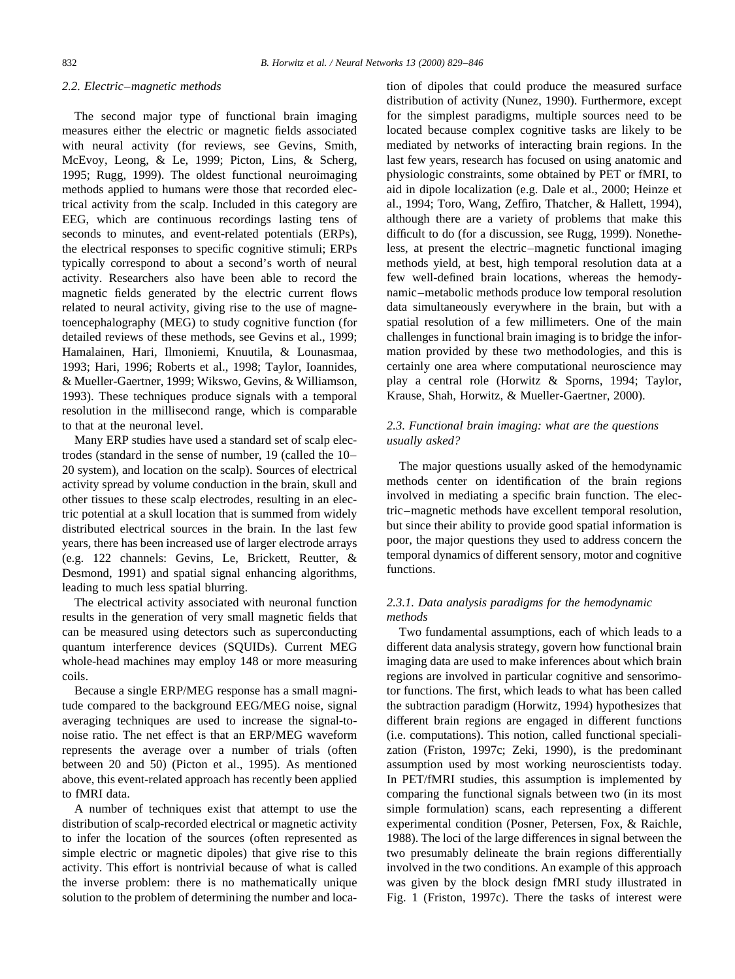#### *2.2. Electric–magnetic methods*

The second major type of functional brain imaging measures either the electric or magnetic fields associated with neural activity (for reviews, see Gevins, Smith, McEvoy, Leong, & Le, 1999; Picton, Lins, & Scherg, 1995; Rugg, 1999). The oldest functional neuroimaging methods applied to humans were those that recorded electrical activity from the scalp. Included in this category are EEG, which are continuous recordings lasting tens of seconds to minutes, and event-related potentials (ERPs), the electrical responses to specific cognitive stimuli; ERPs typically correspond to about a second's worth of neural activity. Researchers also have been able to record the magnetic fields generated by the electric current flows related to neural activity, giving rise to the use of magnetoencephalography (MEG) to study cognitive function (for detailed reviews of these methods, see Gevins et al., 1999; Hamalainen, Hari, Ilmoniemi, Knuutila, & Lounasmaa, 1993; Hari, 1996; Roberts et al., 1998; Taylor, Ioannides, & Mueller-Gaertner, 1999; Wikswo, Gevins, & Williamson, 1993). These techniques produce signals with a temporal resolution in the millisecond range, which is comparable to that at the neuronal level.

Many ERP studies have used a standard set of scalp electrodes (standard in the sense of number, 19 (called the 10– 20 system), and location on the scalp). Sources of electrical activity spread by volume conduction in the brain, skull and other tissues to these scalp electrodes, resulting in an electric potential at a skull location that is summed from widely distributed electrical sources in the brain. In the last few years, there has been increased use of larger electrode arrays (e.g. 122 channels: Gevins, Le, Brickett, Reutter, & Desmond, 1991) and spatial signal enhancing algorithms, leading to much less spatial blurring.

The electrical activity associated with neuronal function results in the generation of very small magnetic fields that can be measured using detectors such as superconducting quantum interference devices (SQUIDs). Current MEG whole-head machines may employ 148 or more measuring coils.

Because a single ERP/MEG response has a small magnitude compared to the background EEG/MEG noise, signal averaging techniques are used to increase the signal-tonoise ratio. The net effect is that an ERP/MEG waveform represents the average over a number of trials (often between 20 and 50) (Picton et al., 1995). As mentioned above, this event-related approach has recently been applied to fMRI data.

A number of techniques exist that attempt to use the distribution of scalp-recorded electrical or magnetic activity to infer the location of the sources (often represented as simple electric or magnetic dipoles) that give rise to this activity. This effort is nontrivial because of what is called the inverse problem: there is no mathematically unique solution to the problem of determining the number and location of dipoles that could produce the measured surface distribution of activity (Nunez, 1990). Furthermore, except for the simplest paradigms, multiple sources need to be located because complex cognitive tasks are likely to be mediated by networks of interacting brain regions. In the last few years, research has focused on using anatomic and physiologic constraints, some obtained by PET or fMRI, to aid in dipole localization (e.g. Dale et al., 2000; Heinze et al., 1994; Toro, Wang, Zeffiro, Thatcher, & Hallett, 1994), although there are a variety of problems that make this difficult to do (for a discussion, see Rugg, 1999). Nonetheless, at present the electric–magnetic functional imaging methods yield, at best, high temporal resolution data at a few well-defined brain locations, whereas the hemodynamic–metabolic methods produce low temporal resolution data simultaneously everywhere in the brain, but with a spatial resolution of a few millimeters. One of the main challenges in functional brain imaging is to bridge the information provided by these two methodologies, and this is certainly one area where computational neuroscience may play a central role (Horwitz & Sporns, 1994; Taylor, Krause, Shah, Horwitz, & Mueller-Gaertner, 2000).

# *2.3. Functional brain imaging: what are the questions usually asked?*

The major questions usually asked of the hemodynamic methods center on identification of the brain regions involved in mediating a specific brain function. The electric–magnetic methods have excellent temporal resolution, but since their ability to provide good spatial information is poor, the major questions they used to address concern the temporal dynamics of different sensory, motor and cognitive functions.

# *2.3.1. Data analysis paradigms for the hemodynamic methods*

Two fundamental assumptions, each of which leads to a different data analysis strategy, govern how functional brain imaging data are used to make inferences about which brain regions are involved in particular cognitive and sensorimotor functions. The first, which leads to what has been called the subtraction paradigm (Horwitz, 1994) hypothesizes that different brain regions are engaged in different functions (i.e. computations). This notion, called functional specialization (Friston, 1997c; Zeki, 1990), is the predominant assumption used by most working neuroscientists today. In PET/fMRI studies, this assumption is implemented by comparing the functional signals between two (in its most simple formulation) scans, each representing a different experimental condition (Posner, Petersen, Fox, & Raichle, 1988). The loci of the large differences in signal between the two presumably delineate the brain regions differentially involved in the two conditions. An example of this approach was given by the block design fMRI study illustrated in Fig. 1 (Friston, 1997c). There the tasks of interest were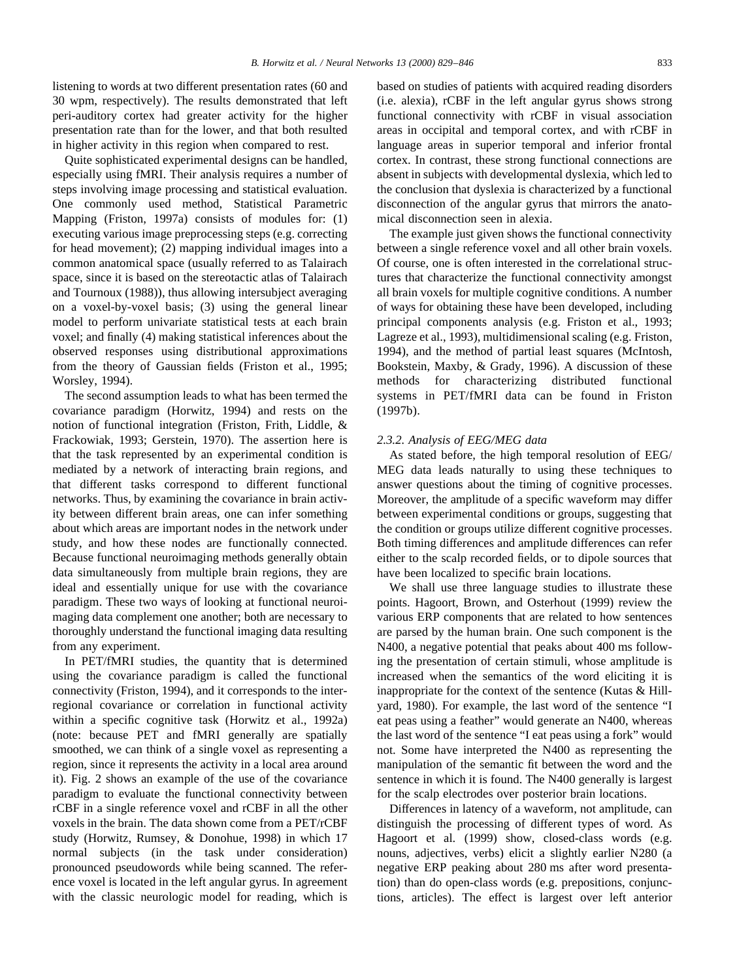listening to words at two different presentation rates (60 and 30 wpm, respectively). The results demonstrated that left peri-auditory cortex had greater activity for the higher presentation rate than for the lower, and that both resulted in higher activity in this region when compared to rest.

Quite sophisticated experimental designs can be handled, especially using fMRI. Their analysis requires a number of steps involving image processing and statistical evaluation. One commonly used method, Statistical Parametric Mapping (Friston, 1997a) consists of modules for: (1) executing various image preprocessing steps (e.g. correcting for head movement); (2) mapping individual images into a common anatomical space (usually referred to as Talairach space, since it is based on the stereotactic atlas of Talairach and Tournoux (1988)), thus allowing intersubject averaging on a voxel-by-voxel basis; (3) using the general linear model to perform univariate statistical tests at each brain voxel; and finally (4) making statistical inferences about the observed responses using distributional approximations from the theory of Gaussian fields (Friston et al., 1995; Worsley, 1994).

The second assumption leads to what has been termed the covariance paradigm (Horwitz, 1994) and rests on the notion of functional integration (Friston, Frith, Liddle, & Frackowiak, 1993; Gerstein, 1970). The assertion here is that the task represented by an experimental condition is mediated by a network of interacting brain regions, and that different tasks correspond to different functional networks. Thus, by examining the covariance in brain activity between different brain areas, one can infer something about which areas are important nodes in the network under study, and how these nodes are functionally connected. Because functional neuroimaging methods generally obtain data simultaneously from multiple brain regions, they are ideal and essentially unique for use with the covariance paradigm. These two ways of looking at functional neuroimaging data complement one another; both are necessary to thoroughly understand the functional imaging data resulting from any experiment.

In PET/fMRI studies, the quantity that is determined using the covariance paradigm is called the functional connectivity (Friston, 1994), and it corresponds to the interregional covariance or correlation in functional activity within a specific cognitive task (Horwitz et al., 1992a) (note: because PET and fMRI generally are spatially smoothed, we can think of a single voxel as representing a region, since it represents the activity in a local area around it). Fig. 2 shows an example of the use of the covariance paradigm to evaluate the functional connectivity between rCBF in a single reference voxel and rCBF in all the other voxels in the brain. The data shown come from a PET/rCBF study (Horwitz, Rumsey, & Donohue, 1998) in which 17 normal subjects (in the task under consideration) pronounced pseudowords while being scanned. The reference voxel is located in the left angular gyrus. In agreement with the classic neurologic model for reading, which is

based on studies of patients with acquired reading disorders (i.e. alexia), rCBF in the left angular gyrus shows strong functional connectivity with rCBF in visual association areas in occipital and temporal cortex, and with rCBF in language areas in superior temporal and inferior frontal cortex. In contrast, these strong functional connections are absent in subjects with developmental dyslexia, which led to the conclusion that dyslexia is characterized by a functional disconnection of the angular gyrus that mirrors the anatomical disconnection seen in alexia.

The example just given shows the functional connectivity between a single reference voxel and all other brain voxels. Of course, one is often interested in the correlational structures that characterize the functional connectivity amongst all brain voxels for multiple cognitive conditions. A number of ways for obtaining these have been developed, including principal components analysis (e.g. Friston et al., 1993; Lagreze et al., 1993), multidimensional scaling (e.g. Friston, 1994), and the method of partial least squares (McIntosh, Bookstein, Maxby, & Grady, 1996). A discussion of these methods for characterizing distributed functional systems in PET/fMRI data can be found in Friston (1997b).

#### *2.3.2. Analysis of EEG/MEG data*

As stated before, the high temporal resolution of EEG/ MEG data leads naturally to using these techniques to answer questions about the timing of cognitive processes. Moreover, the amplitude of a specific waveform may differ between experimental conditions or groups, suggesting that the condition or groups utilize different cognitive processes. Both timing differences and amplitude differences can refer either to the scalp recorded fields, or to dipole sources that have been localized to specific brain locations.

We shall use three language studies to illustrate these points. Hagoort, Brown, and Osterhout (1999) review the various ERP components that are related to how sentences are parsed by the human brain. One such component is the N400, a negative potential that peaks about 400 ms following the presentation of certain stimuli, whose amplitude is increased when the semantics of the word eliciting it is inappropriate for the context of the sentence (Kutas & Hillyard, 1980). For example, the last word of the sentence "I eat peas using a feather" would generate an N400, whereas the last word of the sentence "I eat peas using a fork" would not. Some have interpreted the N400 as representing the manipulation of the semantic fit between the word and the sentence in which it is found. The N400 generally is largest for the scalp electrodes over posterior brain locations.

Differences in latency of a waveform, not amplitude, can distinguish the processing of different types of word. As Hagoort et al. (1999) show, closed-class words (e.g. nouns, adjectives, verbs) elicit a slightly earlier N280 (a negative ERP peaking about 280 ms after word presentation) than do open-class words (e.g. prepositions, conjunctions, articles). The effect is largest over left anterior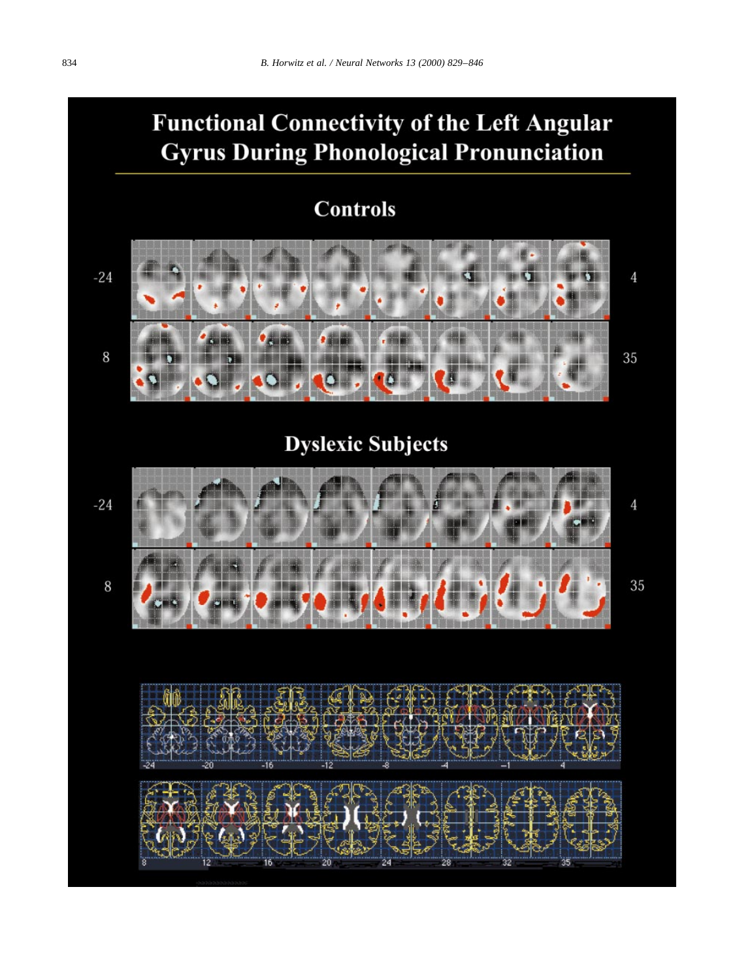



**Dyslexic Subjects** 





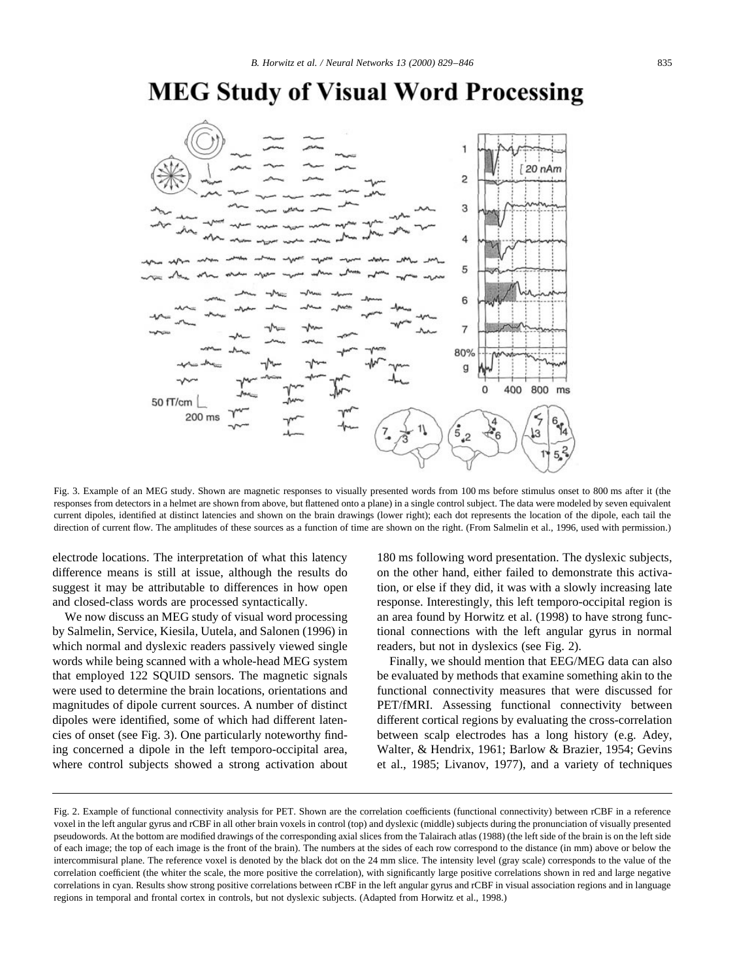# **MEG Study of Visual Word Processing**



Fig. 3. Example of an MEG study. Shown are magnetic responses to visually presented words from 100 ms before stimulus onset to 800 ms after it (the responses from detectors in a helmet are shown from above, but flattened onto a plane) in a single control subject. The data were modeled by seven equivalent current dipoles, identified at distinct latencies and shown on the brain drawings (lower right); each dot represents the location of the dipole, each tail the direction of current flow. The amplitudes of these sources as a function of time are shown on the right. (From Salmelin et al., 1996, used with permission.)

electrode locations. The interpretation of what this latency difference means is still at issue, although the results do suggest it may be attributable to differences in how open and closed-class words are processed syntactically.

We now discuss an MEG study of visual word processing by Salmelin, Service, Kiesila, Uutela, and Salonen (1996) in which normal and dyslexic readers passively viewed single words while being scanned with a whole-head MEG system that employed 122 SQUID sensors. The magnetic signals were used to determine the brain locations, orientations and magnitudes of dipole current sources. A number of distinct dipoles were identified, some of which had different latencies of onset (see Fig. 3). One particularly noteworthy finding concerned a dipole in the left temporo-occipital area, where control subjects showed a strong activation about 180 ms following word presentation. The dyslexic subjects, on the other hand, either failed to demonstrate this activation, or else if they did, it was with a slowly increasing late response. Interestingly, this left temporo-occipital region is an area found by Horwitz et al. (1998) to have strong functional connections with the left angular gyrus in normal readers, but not in dyslexics (see Fig. 2).

Finally, we should mention that EEG/MEG data can also be evaluated by methods that examine something akin to the functional connectivity measures that were discussed for PET/fMRI. Assessing functional connectivity between different cortical regions by evaluating the cross-correlation between scalp electrodes has a long history (e.g. Adey, Walter, & Hendrix, 1961; Barlow & Brazier, 1954; Gevins et al., 1985; Livanov, 1977), and a variety of techniques

Fig. 2. Example of functional connectivity analysis for PET. Shown are the correlation coefficients (functional connectivity) between rCBF in a reference voxel in the left angular gyrus and rCBF in all other brain voxels in control (top) and dyslexic (middle) subjects during the pronunciation of visually presented pseudowords. At the bottom are modified drawings of the corresponding axial slices from the Talairach atlas (1988) (the left side of the brain is on the left side of each image; the top of each image is the front of the brain). The numbers at the sides of each row correspond to the distance (in mm) above or below the intercommisural plane. The reference voxel is denoted by the black dot on the 24 mm slice. The intensity level (gray scale) corresponds to the value of the correlation coefficient (the whiter the scale, the more positive the correlation), with significantly large positive correlations shown in red and large negative correlations in cyan. Results show strong positive correlations between rCBF in the left angular gyrus and rCBF in visual association regions and in language regions in temporal and frontal cortex in controls, but not dyslexic subjects. (Adapted from Horwitz et al., 1998.)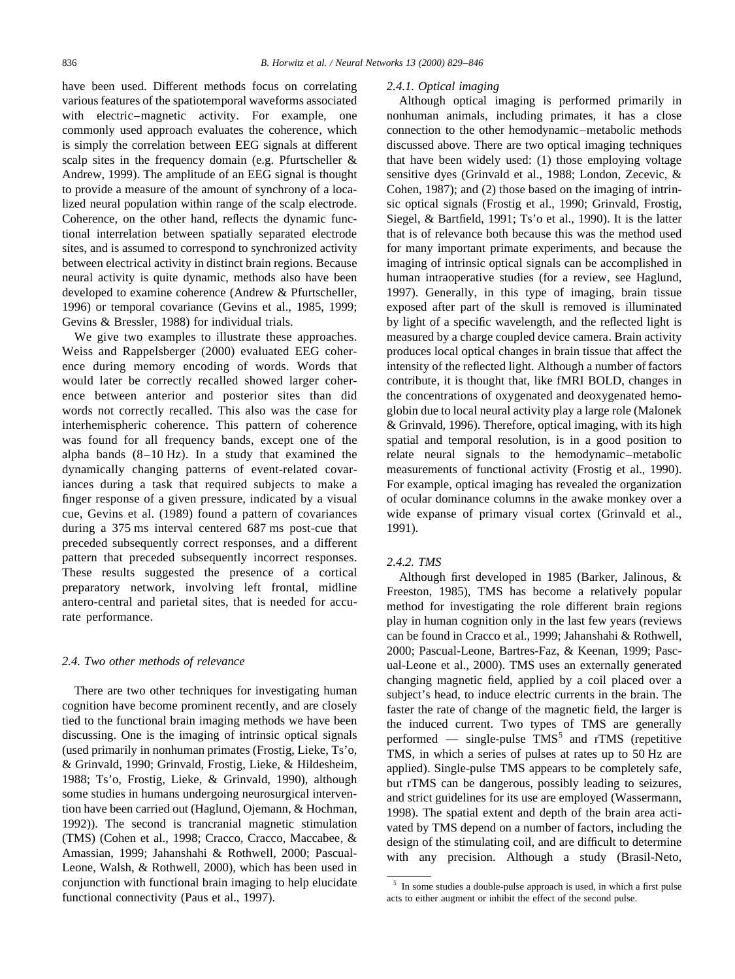have been used. Different methods focus on correlating various features of the spatiotemporal waveforms associated with electric–magnetic activity. For example, one commonly used approach evaluates the coherence, which is simply the correlation between EEG signals at different scalp sites in the frequency domain (e.g. Pfurtscheller & Andrew, 1999). The amplitude of an EEG signal is thought to provide a measure of the amount of synchrony of a localized neural population within range of the scalp electrode. Coherence, on the other hand, reflects the dynamic functional interrelation between spatially separated electrode sites, and is assumed to correspond to synchronized activity between electrical activity in distinct brain regions. Because neural activity is quite dynamic, methods also have been developed to examine coherence (Andrew & Pfurtscheller, 1996) or temporal covariance (Gevins et al., 1985, 1999; Gevins & Bressler, 1988) for individual trials.

We give two examples to illustrate these approaches. Weiss and Rappelsberger (2000) evaluated EEG coherence during memory encoding of words. Words that would later be correctly recalled showed larger coherence between anterior and posterior sites than did words not correctly recalled. This also was the case for interhemispheric coherence. This pattern of coherence was found for all frequency bands, except one of the alpha bands  $(8-10 \text{ Hz})$ . In a study that examined the dynamically changing patterns of event-related covariances during a task that required subjects to make a finger response of a given pressure, indicated by a visual cue, Gevins et al. (1989) found a pattern of covariances during a 375 ms interval centered 687 ms post-cue that preceded subsequently correct responses, and a different pattern that preceded subsequently incorrect responses. These results suggested the presence of a cortical preparatory network, involving left frontal, midline antero-central and parietal sites, that is needed for accurate performance.

#### *2.4. Two other methods of relevance*

There are two other techniques for investigating human cognition have become prominent recently, and are closely tied to the functional brain imaging methods we have been discussing. One is the imaging of intrinsic optical signals (used primarily in nonhuman primates (Frostig, Lieke, Ts'o, & Grinvald, 1990; Grinvald, Frostig, Lieke, & Hildesheim, 1988; Ts'o, Frostig, Lieke, & Grinvald, 1990), although some studies in humans undergoing neurosurgical intervention have been carried out (Haglund, Ojemann, & Hochman, 1992)). The second is trancranial magnetic stimulation (TMS) (Cohen et al., 1998; Cracco, Cracco, Maccabee, & Amassian, 1999; Jahanshahi & Rothwell, 2000; Pascual-Leone, Walsh, & Rothwell, 2000), which has been used in conjunction with functional brain imaging to help elucidate functional connectivity (Paus et al., 1997).

#### *2.4.1. Optical imaging*

Although optical imaging is performed primarily in nonhuman animals, including primates, it has a close connection to the other hemodynamic–metabolic methods discussed above. There are two optical imaging techniques that have been widely used: (1) those employing voltage sensitive dyes (Grinvald et al., 1988; London, Zecevic, & Cohen, 1987); and (2) those based on the imaging of intrinsic optical signals (Frostig et al., 1990; Grinvald, Frostig, Siegel, & Bartfield, 1991; Ts'o et al., 1990). It is the latter that is of relevance both because this was the method used for many important primate experiments, and because the imaging of intrinsic optical signals can be accomplished in human intraoperative studies (for a review, see Haglund, 1997). Generally, in this type of imaging, brain tissue exposed after part of the skull is removed is illuminated by light of a specific wavelength, and the reflected light is measured by a charge coupled device camera. Brain activity produces local optical changes in brain tissue that affect the intensity of the reflected light. Although a number of factors contribute, it is thought that, like fMRI BOLD, changes in the concentrations of oxygenated and deoxygenated hemoglobin due to local neural activity play a large role (Malonek & Grinvald, 1996). Therefore, optical imaging, with its high spatial and temporal resolution, is in a good position to relate neural signals to the hemodynamic–metabolic measurements of functional activity (Frostig et al., 1990). For example, optical imaging has revealed the organization of ocular dominance columns in the awake monkey over a wide expanse of primary visual cortex (Grinvald et al., 1991).

#### *2.4.2. TMS*

Although first developed in 1985 (Barker, Jalinous, & Freeston, 1985), TMS has become a relatively popular method for investigating the role different brain regions play in human cognition only in the last few years (reviews can be found in Cracco et al., 1999; Jahanshahi & Rothwell, 2000; Pascual-Leone, Bartres-Faz, & Keenan, 1999; Pascual-Leone et al., 2000). TMS uses an externally generated changing magnetic field, applied by a coil placed over a subject's head, to induce electric currents in the brain. The faster the rate of change of the magnetic field, the larger is the induced current. Two types of TMS are generally performed — single-pulse  $TMS<sup>5</sup>$  and rTMS (repetitive TMS, in which a series of pulses at rates up to 50 Hz are applied). Single-pulse TMS appears to be completely safe, but rTMS can be dangerous, possibly leading to seizures, and strict guidelines for its use are employed (Wassermann, 1998). The spatial extent and depth of the brain area activated by TMS depend on a number of factors, including the design of the stimulating coil, and are difficult to determine with any precision. Although a study (Brasil-Neto,

 $<sup>5</sup>$  In some studies a double-pulse approach is used, in which a first pulse</sup> acts to either augment or inhibit the effect of the second pulse.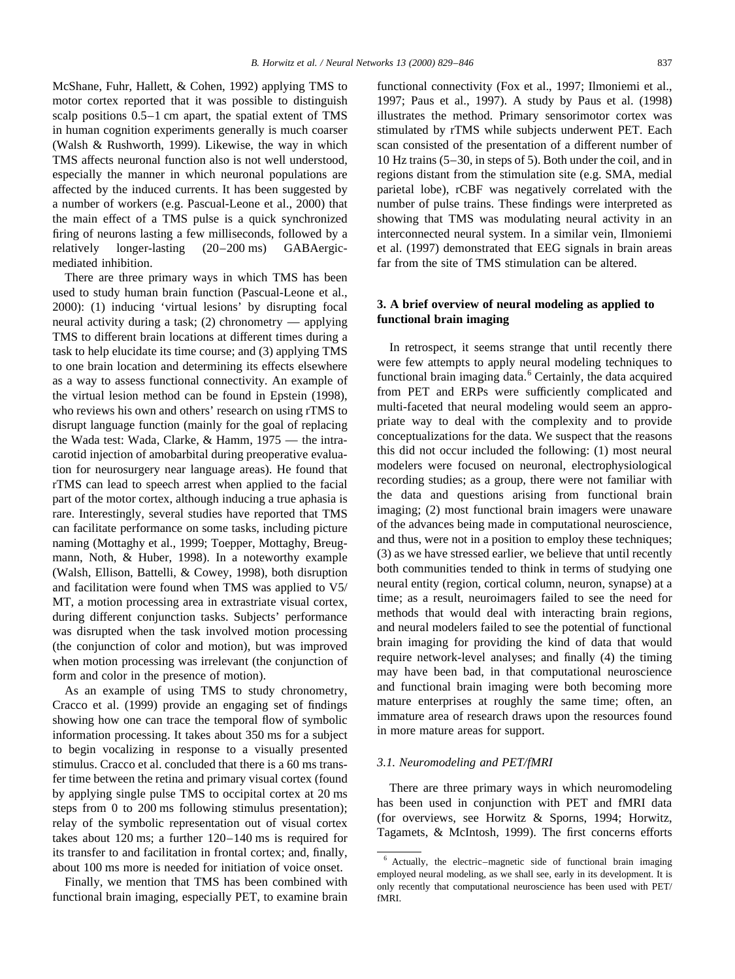McShane, Fuhr, Hallett, & Cohen, 1992) applying TMS to motor cortex reported that it was possible to distinguish scalp positions 0.5–1 cm apart, the spatial extent of TMS in human cognition experiments generally is much coarser (Walsh & Rushworth, 1999). Likewise, the way in which TMS affects neuronal function also is not well understood, especially the manner in which neuronal populations are affected by the induced currents. It has been suggested by a number of workers (e.g. Pascual-Leone et al., 2000) that the main effect of a TMS pulse is a quick synchronized firing of neurons lasting a few milliseconds, followed by a relatively longer-lasting (20–200 ms) GABAergicmediated inhibition.

There are three primary ways in which TMS has been used to study human brain function (Pascual-Leone et al., 2000): (1) inducing 'virtual lesions' by disrupting focal neural activity during a task; (2) chronometry — applying TMS to different brain locations at different times during a task to help elucidate its time course; and (3) applying TMS to one brain location and determining its effects elsewhere as a way to assess functional connectivity. An example of the virtual lesion method can be found in Epstein (1998), who reviews his own and others' research on using rTMS to disrupt language function (mainly for the goal of replacing the Wada test: Wada, Clarke, & Hamm, 1975 — the intracarotid injection of amobarbital during preoperative evaluation for neurosurgery near language areas). He found that rTMS can lead to speech arrest when applied to the facial part of the motor cortex, although inducing a true aphasia is rare. Interestingly, several studies have reported that TMS can facilitate performance on some tasks, including picture naming (Mottaghy et al., 1999; Toepper, Mottaghy, Breugmann, Noth, & Huber, 1998). In a noteworthy example (Walsh, Ellison, Battelli, & Cowey, 1998), both disruption and facilitation were found when TMS was applied to V5/ MT, a motion processing area in extrastriate visual cortex, during different conjunction tasks. Subjects' performance was disrupted when the task involved motion processing (the conjunction of color and motion), but was improved when motion processing was irrelevant (the conjunction of form and color in the presence of motion).

As an example of using TMS to study chronometry, Cracco et al. (1999) provide an engaging set of findings showing how one can trace the temporal flow of symbolic information processing. It takes about 350 ms for a subject to begin vocalizing in response to a visually presented stimulus. Cracco et al. concluded that there is a 60 ms transfer time between the retina and primary visual cortex (found by applying single pulse TMS to occipital cortex at 20 ms steps from 0 to 200 ms following stimulus presentation); relay of the symbolic representation out of visual cortex takes about 120 ms; a further 120–140 ms is required for its transfer to and facilitation in frontal cortex; and, finally, about 100 ms more is needed for initiation of voice onset.

Finally, we mention that TMS has been combined with functional brain imaging, especially PET, to examine brain functional connectivity (Fox et al., 1997; Ilmoniemi et al., 1997; Paus et al., 1997). A study by Paus et al. (1998) illustrates the method. Primary sensorimotor cortex was stimulated by rTMS while subjects underwent PET. Each scan consisted of the presentation of a different number of 10 Hz trains (5–30, in steps of 5). Both under the coil, and in regions distant from the stimulation site (e.g. SMA, medial parietal lobe), rCBF was negatively correlated with the number of pulse trains. These findings were interpreted as showing that TMS was modulating neural activity in an interconnected neural system. In a similar vein, Ilmoniemi et al. (1997) demonstrated that EEG signals in brain areas far from the site of TMS stimulation can be altered.

# **3. A brief overview of neural modeling as applied to functional brain imaging**

In retrospect, it seems strange that until recently there were few attempts to apply neural modeling techniques to functional brain imaging data.<sup>6</sup> Certainly, the data acquired from PET and ERPs were sufficiently complicated and multi-faceted that neural modeling would seem an appropriate way to deal with the complexity and to provide conceptualizations for the data. We suspect that the reasons this did not occur included the following: (1) most neural modelers were focused on neuronal, electrophysiological recording studies; as a group, there were not familiar with the data and questions arising from functional brain imaging; (2) most functional brain imagers were unaware of the advances being made in computational neuroscience, and thus, were not in a position to employ these techniques; (3) as we have stressed earlier, we believe that until recently both communities tended to think in terms of studying one neural entity (region, cortical column, neuron, synapse) at a time; as a result, neuroimagers failed to see the need for methods that would deal with interacting brain regions, and neural modelers failed to see the potential of functional brain imaging for providing the kind of data that would require network-level analyses; and finally (4) the timing may have been bad, in that computational neuroscience and functional brain imaging were both becoming more mature enterprises at roughly the same time; often, an immature area of research draws upon the resources found in more mature areas for support.

#### *3.1. Neuromodeling and PET/fMRI*

There are three primary ways in which neuromodeling has been used in conjunction with PET and fMRI data (for overviews, see Horwitz & Sporns, 1994; Horwitz, Tagamets, & McIntosh, 1999). The first concerns efforts

<sup>6</sup> Actually, the electric–magnetic side of functional brain imaging employed neural modeling, as we shall see, early in its development. It is only recently that computational neuroscience has been used with PET/ fMRI.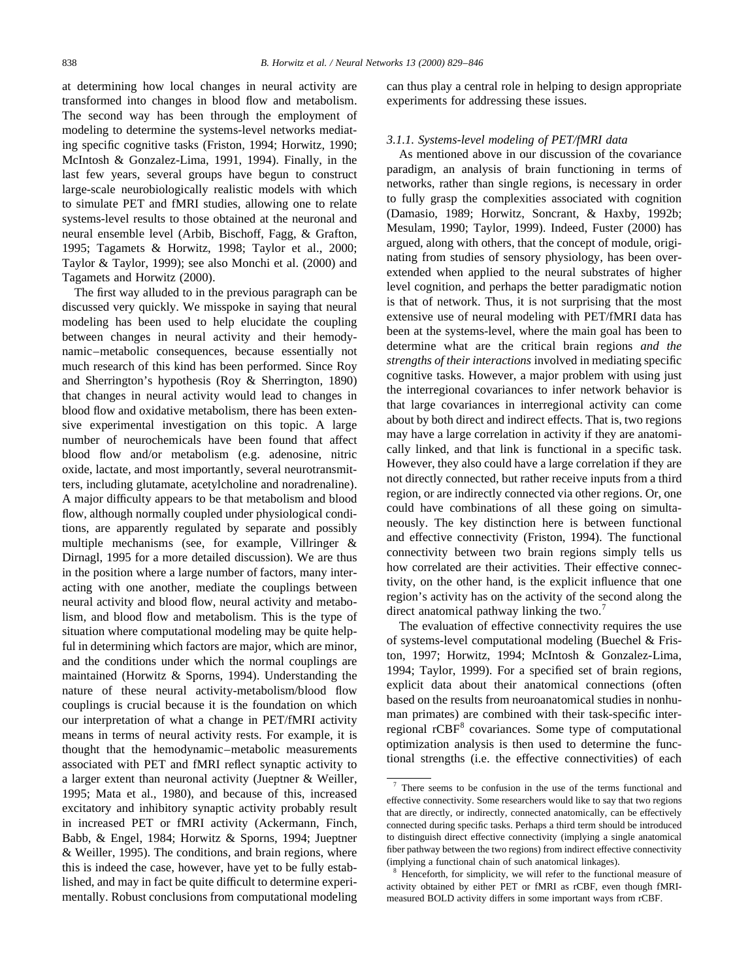at determining how local changes in neural activity are transformed into changes in blood flow and metabolism. The second way has been through the employment of modeling to determine the systems-level networks mediating specific cognitive tasks (Friston, 1994; Horwitz, 1990; McIntosh & Gonzalez-Lima, 1991, 1994). Finally, in the last few years, several groups have begun to construct large-scale neurobiologically realistic models with which to simulate PET and fMRI studies, allowing one to relate systems-level results to those obtained at the neuronal and neural ensemble level (Arbib, Bischoff, Fagg, & Grafton, 1995; Tagamets & Horwitz, 1998; Taylor et al., 2000; Taylor & Taylor, 1999); see also Monchi et al. (2000) and Tagamets and Horwitz (2000).

The first way alluded to in the previous paragraph can be discussed very quickly. We misspoke in saying that neural modeling has been used to help elucidate the coupling between changes in neural activity and their hemodynamic–metabolic consequences, because essentially not much research of this kind has been performed. Since Roy and Sherrington's hypothesis (Roy & Sherrington, 1890) that changes in neural activity would lead to changes in blood flow and oxidative metabolism, there has been extensive experimental investigation on this topic. A large number of neurochemicals have been found that affect blood flow and/or metabolism (e.g. adenosine, nitric oxide, lactate, and most importantly, several neurotransmitters, including glutamate, acetylcholine and noradrenaline). A major difficulty appears to be that metabolism and blood flow, although normally coupled under physiological conditions, are apparently regulated by separate and possibly multiple mechanisms (see, for example, Villringer & Dirnagl, 1995 for a more detailed discussion). We are thus in the position where a large number of factors, many interacting with one another, mediate the couplings between neural activity and blood flow, neural activity and metabolism, and blood flow and metabolism. This is the type of situation where computational modeling may be quite helpful in determining which factors are major, which are minor, and the conditions under which the normal couplings are maintained (Horwitz & Sporns, 1994). Understanding the nature of these neural activity-metabolism/blood flow couplings is crucial because it is the foundation on which our interpretation of what a change in PET/fMRI activity means in terms of neural activity rests. For example, it is thought that the hemodynamic–metabolic measurements associated with PET and fMRI reflect synaptic activity to a larger extent than neuronal activity (Jueptner & Weiller, 1995; Mata et al., 1980), and because of this, increased excitatory and inhibitory synaptic activity probably result in increased PET or fMRI activity (Ackermann, Finch, Babb, & Engel, 1984; Horwitz & Sporns, 1994; Jueptner & Weiller, 1995). The conditions, and brain regions, where this is indeed the case, however, have yet to be fully established, and may in fact be quite difficult to determine experimentally. Robust conclusions from computational modeling can thus play a central role in helping to design appropriate experiments for addressing these issues.

#### *3.1.1. Systems-level modeling of PET/fMRI data*

As mentioned above in our discussion of the covariance paradigm, an analysis of brain functioning in terms of networks, rather than single regions, is necessary in order to fully grasp the complexities associated with cognition (Damasio, 1989; Horwitz, Soncrant, & Haxby, 1992b; Mesulam, 1990; Taylor, 1999). Indeed, Fuster (2000) has argued, along with others, that the concept of module, originating from studies of sensory physiology, has been overextended when applied to the neural substrates of higher level cognition, and perhaps the better paradigmatic notion is that of network. Thus, it is not surprising that the most extensive use of neural modeling with PET/fMRI data has been at the systems-level, where the main goal has been to determine what are the critical brain regions *and the strengths of their interactions* involved in mediating specific cognitive tasks. However, a major problem with using just the interregional covariances to infer network behavior is that large covariances in interregional activity can come about by both direct and indirect effects. That is, two regions may have a large correlation in activity if they are anatomically linked, and that link is functional in a specific task. However, they also could have a large correlation if they are not directly connected, but rather receive inputs from a third region, or are indirectly connected via other regions. Or, one could have combinations of all these going on simultaneously. The key distinction here is between functional and effective connectivity (Friston, 1994). The functional connectivity between two brain regions simply tells us how correlated are their activities. Their effective connectivity, on the other hand, is the explicit influence that one region's activity has on the activity of the second along the direct anatomical pathway linking the two.<sup>7</sup>

The evaluation of effective connectivity requires the use of systems-level computational modeling (Buechel & Friston, 1997; Horwitz, 1994; McIntosh & Gonzalez-Lima, 1994; Taylor, 1999). For a specified set of brain regions, explicit data about their anatomical connections (often based on the results from neuroanatomical studies in nonhuman primates) are combined with their task-specific interregional  $rCBF<sup>8</sup>$  covariances. Some type of computational optimization analysis is then used to determine the functional strengths (i.e. the effective connectivities) of each

<sup>7</sup> There seems to be confusion in the use of the terms functional and effective connectivity. Some researchers would like to say that two regions that are directly, or indirectly, connected anatomically, can be effectively connected during specific tasks. Perhaps a third term should be introduced to distinguish direct effective connectivity (implying a single anatomical fiber pathway between the two regions) from indirect effective connectivity (implying a functional chain of such anatomical linkages).

<sup>8</sup> Henceforth, for simplicity, we will refer to the functional measure of activity obtained by either PET or fMRI as rCBF, even though fMRImeasured BOLD activity differs in some important ways from rCBF.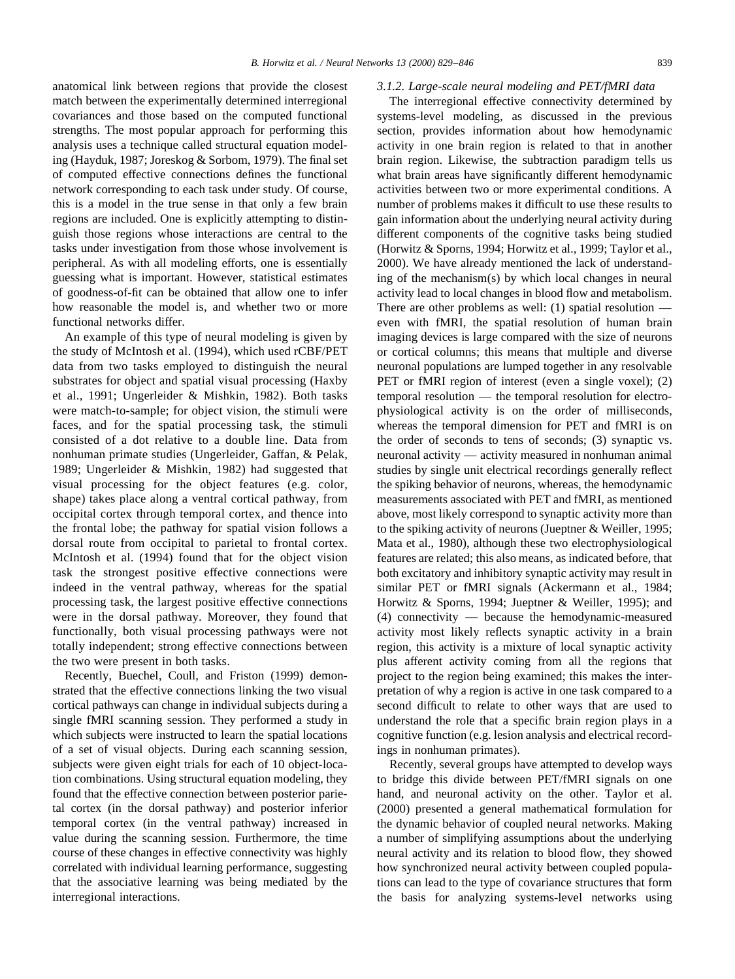anatomical link between regions that provide the closest match between the experimentally determined interregional covariances and those based on the computed functional strengths. The most popular approach for performing this analysis uses a technique called structural equation modeling (Hayduk, 1987; Joreskog & Sorbom, 1979). The final set of computed effective connections defines the functional network corresponding to each task under study. Of course, this is a model in the true sense in that only a few brain regions are included. One is explicitly attempting to distinguish those regions whose interactions are central to the tasks under investigation from those whose involvement is peripheral. As with all modeling efforts, one is essentially guessing what is important. However, statistical estimates of goodness-of-fit can be obtained that allow one to infer how reasonable the model is, and whether two or more functional networks differ.

An example of this type of neural modeling is given by the study of McIntosh et al. (1994), which used rCBF/PET data from two tasks employed to distinguish the neural substrates for object and spatial visual processing (Haxby et al., 1991; Ungerleider & Mishkin, 1982). Both tasks were match-to-sample; for object vision, the stimuli were faces, and for the spatial processing task, the stimuli consisted of a dot relative to a double line. Data from nonhuman primate studies (Ungerleider, Gaffan, & Pelak, 1989; Ungerleider & Mishkin, 1982) had suggested that visual processing for the object features (e.g. color, shape) takes place along a ventral cortical pathway, from occipital cortex through temporal cortex, and thence into the frontal lobe; the pathway for spatial vision follows a dorsal route from occipital to parietal to frontal cortex. McIntosh et al. (1994) found that for the object vision task the strongest positive effective connections were indeed in the ventral pathway, whereas for the spatial processing task, the largest positive effective connections were in the dorsal pathway. Moreover, they found that functionally, both visual processing pathways were not totally independent; strong effective connections between the two were present in both tasks.

Recently, Buechel, Coull, and Friston (1999) demonstrated that the effective connections linking the two visual cortical pathways can change in individual subjects during a single fMRI scanning session. They performed a study in which subjects were instructed to learn the spatial locations of a set of visual objects. During each scanning session, subjects were given eight trials for each of 10 object-location combinations. Using structural equation modeling, they found that the effective connection between posterior parietal cortex (in the dorsal pathway) and posterior inferior temporal cortex (in the ventral pathway) increased in value during the scanning session. Furthermore, the time course of these changes in effective connectivity was highly correlated with individual learning performance, suggesting that the associative learning was being mediated by the interregional interactions.

#### *3.1.2. Large-scale neural modeling and PET/fMRI data*

The interregional effective connectivity determined by systems-level modeling, as discussed in the previous section, provides information about how hemodynamic activity in one brain region is related to that in another brain region. Likewise, the subtraction paradigm tells us what brain areas have significantly different hemodynamic activities between two or more experimental conditions. A number of problems makes it difficult to use these results to gain information about the underlying neural activity during different components of the cognitive tasks being studied (Horwitz & Sporns, 1994; Horwitz et al., 1999; Taylor et al., 2000). We have already mentioned the lack of understanding of the mechanism(s) by which local changes in neural activity lead to local changes in blood flow and metabolism. There are other problems as well: (1) spatial resolution even with fMRI, the spatial resolution of human brain imaging devices is large compared with the size of neurons or cortical columns; this means that multiple and diverse neuronal populations are lumped together in any resolvable PET or fMRI region of interest (even a single voxel); (2) temporal resolution — the temporal resolution for electrophysiological activity is on the order of milliseconds, whereas the temporal dimension for PET and fMRI is on the order of seconds to tens of seconds; (3) synaptic vs. neuronal activity — activity measured in nonhuman animal studies by single unit electrical recordings generally reflect the spiking behavior of neurons, whereas, the hemodynamic measurements associated with PET and fMRI, as mentioned above, most likely correspond to synaptic activity more than to the spiking activity of neurons (Jueptner & Weiller, 1995; Mata et al., 1980), although these two electrophysiological features are related; this also means, as indicated before, that both excitatory and inhibitory synaptic activity may result in similar PET or fMRI signals (Ackermann et al., 1984; Horwitz & Sporns, 1994; Jueptner & Weiller, 1995); and (4) connectivity — because the hemodynamic-measured activity most likely reflects synaptic activity in a brain region, this activity is a mixture of local synaptic activity plus afferent activity coming from all the regions that project to the region being examined; this makes the interpretation of why a region is active in one task compared to a second difficult to relate to other ways that are used to understand the role that a specific brain region plays in a cognitive function (e.g. lesion analysis and electrical recordings in nonhuman primates).

Recently, several groups have attempted to develop ways to bridge this divide between PET/fMRI signals on one hand, and neuronal activity on the other. Taylor et al. (2000) presented a general mathematical formulation for the dynamic behavior of coupled neural networks. Making a number of simplifying assumptions about the underlying neural activity and its relation to blood flow, they showed how synchronized neural activity between coupled populations can lead to the type of covariance structures that form the basis for analyzing systems-level networks using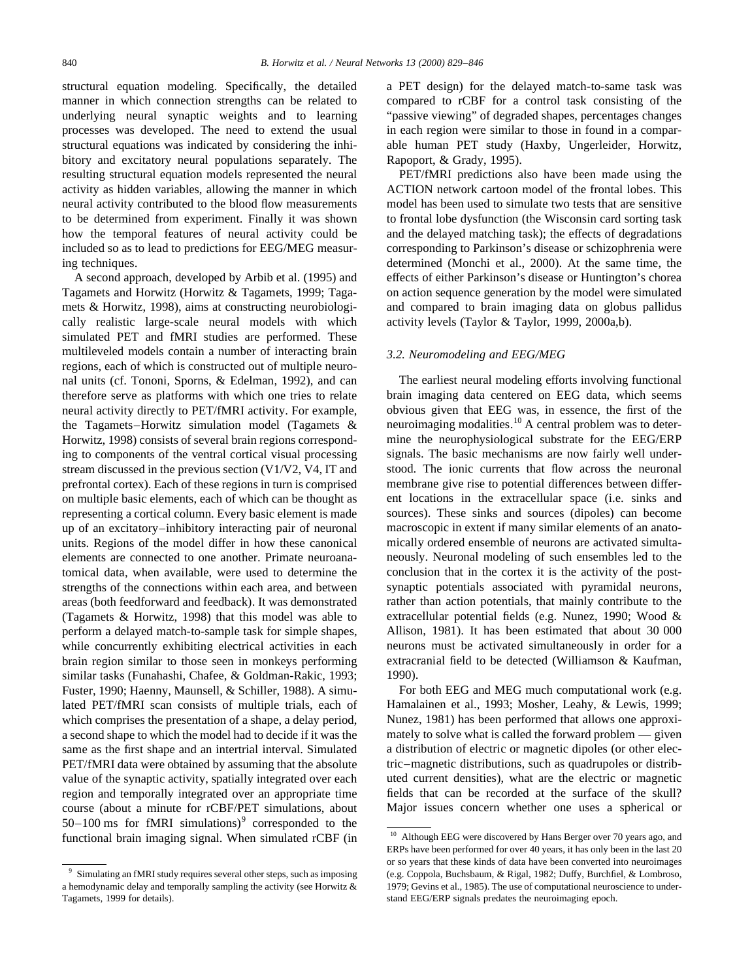structural equation modeling. Specifically, the detailed manner in which connection strengths can be related to underlying neural synaptic weights and to learning processes was developed. The need to extend the usual structural equations was indicated by considering the inhibitory and excitatory neural populations separately. The resulting structural equation models represented the neural activity as hidden variables, allowing the manner in which neural activity contributed to the blood flow measurements to be determined from experiment. Finally it was shown how the temporal features of neural activity could be included so as to lead to predictions for EEG/MEG measuring techniques.

A second approach, developed by Arbib et al. (1995) and Tagamets and Horwitz (Horwitz & Tagamets, 1999; Tagamets & Horwitz, 1998), aims at constructing neurobiologically realistic large-scale neural models with which simulated PET and fMRI studies are performed. These multileveled models contain a number of interacting brain regions, each of which is constructed out of multiple neuronal units (cf. Tononi, Sporns, & Edelman, 1992), and can therefore serve as platforms with which one tries to relate neural activity directly to PET/fMRI activity. For example, the Tagamets–Horwitz simulation model (Tagamets & Horwitz, 1998) consists of several brain regions corresponding to components of the ventral cortical visual processing stream discussed in the previous section (V1/V2, V4, IT and prefrontal cortex). Each of these regions in turn is comprised on multiple basic elements, each of which can be thought as representing a cortical column. Every basic element is made up of an excitatory–inhibitory interacting pair of neuronal units. Regions of the model differ in how these canonical elements are connected to one another. Primate neuroanatomical data, when available, were used to determine the strengths of the connections within each area, and between areas (both feedforward and feedback). It was demonstrated (Tagamets & Horwitz, 1998) that this model was able to perform a delayed match-to-sample task for simple shapes, while concurrently exhibiting electrical activities in each brain region similar to those seen in monkeys performing similar tasks (Funahashi, Chafee, & Goldman-Rakic, 1993; Fuster, 1990; Haenny, Maunsell, & Schiller, 1988). A simulated PET/fMRI scan consists of multiple trials, each of which comprises the presentation of a shape, a delay period, a second shape to which the model had to decide if it was the same as the first shape and an intertrial interval. Simulated PET/fMRI data were obtained by assuming that the absolute value of the synaptic activity, spatially integrated over each region and temporally integrated over an appropriate time course (about a minute for rCBF/PET simulations, about  $50-100$  ms for fMRI simulations)<sup>9</sup> corresponded to the functional brain imaging signal. When simulated rCBF (in

a PET design) for the delayed match-to-same task was compared to rCBF for a control task consisting of the "passive viewing" of degraded shapes, percentages changes in each region were similar to those in found in a comparable human PET study (Haxby, Ungerleider, Horwitz, Rapoport, & Grady, 1995).

PET/fMRI predictions also have been made using the ACTION network cartoon model of the frontal lobes. This model has been used to simulate two tests that are sensitive to frontal lobe dysfunction (the Wisconsin card sorting task and the delayed matching task); the effects of degradations corresponding to Parkinson's disease or schizophrenia were determined (Monchi et al., 2000). At the same time, the effects of either Parkinson's disease or Huntington's chorea on action sequence generation by the model were simulated and compared to brain imaging data on globus pallidus activity levels (Taylor & Taylor, 1999, 2000a,b).

#### *3.2. Neuromodeling and EEG/MEG*

The earliest neural modeling efforts involving functional brain imaging data centered on EEG data, which seems obvious given that EEG was, in essence, the first of the neuroimaging modalities.<sup>10</sup> A central problem was to determine the neurophysiological substrate for the EEG/ERP signals. The basic mechanisms are now fairly well understood. The ionic currents that flow across the neuronal membrane give rise to potential differences between different locations in the extracellular space (i.e. sinks and sources). These sinks and sources (dipoles) can become macroscopic in extent if many similar elements of an anatomically ordered ensemble of neurons are activated simultaneously. Neuronal modeling of such ensembles led to the conclusion that in the cortex it is the activity of the postsynaptic potentials associated with pyramidal neurons, rather than action potentials, that mainly contribute to the extracellular potential fields (e.g. Nunez, 1990; Wood & Allison, 1981). It has been estimated that about 30 000 neurons must be activated simultaneously in order for a extracranial field to be detected (Williamson & Kaufman, 1990).

For both EEG and MEG much computational work (e.g. Hamalainen et al., 1993; Mosher, Leahy, & Lewis, 1999; Nunez, 1981) has been performed that allows one approximately to solve what is called the forward problem — given a distribution of electric or magnetic dipoles (or other electric–magnetic distributions, such as quadrupoles or distributed current densities), what are the electric or magnetic fields that can be recorded at the surface of the skull? Major issues concern whether one uses a spherical or

Simulating an fMRI study requires several other steps, such as imposing a hemodynamic delay and temporally sampling the activity (see Horwitz & Tagamets, 1999 for details).

<sup>&</sup>lt;sup>10</sup> Although EEG were discovered by Hans Berger over 70 years ago, and ERPs have been performed for over 40 years, it has only been in the last 20 or so years that these kinds of data have been converted into neuroimages (e.g. Coppola, Buchsbaum, & Rigal, 1982; Duffy, Burchfiel, & Lombroso, 1979; Gevins et al., 1985). The use of computational neuroscience to understand EEG/ERP signals predates the neuroimaging epoch.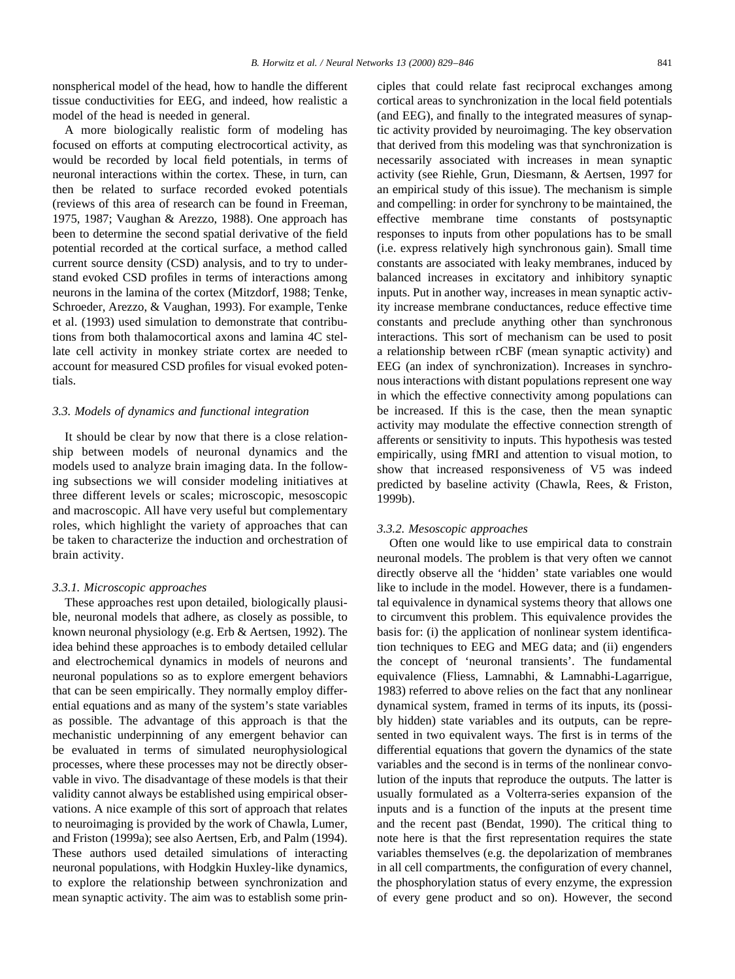nonspherical model of the head, how to handle the different tissue conductivities for EEG, and indeed, how realistic a model of the head is needed in general.

A more biologically realistic form of modeling has focused on efforts at computing electrocortical activity, as would be recorded by local field potentials, in terms of neuronal interactions within the cortex. These, in turn, can then be related to surface recorded evoked potentials (reviews of this area of research can be found in Freeman, 1975, 1987; Vaughan & Arezzo, 1988). One approach has been to determine the second spatial derivative of the field potential recorded at the cortical surface, a method called current source density (CSD) analysis, and to try to understand evoked CSD profiles in terms of interactions among neurons in the lamina of the cortex (Mitzdorf, 1988; Tenke, Schroeder, Arezzo, & Vaughan, 1993). For example, Tenke et al. (1993) used simulation to demonstrate that contributions from both thalamocortical axons and lamina 4C stellate cell activity in monkey striate cortex are needed to account for measured CSD profiles for visual evoked potentials.

#### *3.3. Models of dynamics and functional integration*

It should be clear by now that there is a close relationship between models of neuronal dynamics and the models used to analyze brain imaging data. In the following subsections we will consider modeling initiatives at three different levels or scales; microscopic, mesoscopic and macroscopic. All have very useful but complementary roles, which highlight the variety of approaches that can be taken to characterize the induction and orchestration of brain activity.

#### *3.3.1. Microscopic approaches*

These approaches rest upon detailed, biologically plausible, neuronal models that adhere, as closely as possible, to known neuronal physiology (e.g. Erb & Aertsen, 1992). The idea behind these approaches is to embody detailed cellular and electrochemical dynamics in models of neurons and neuronal populations so as to explore emergent behaviors that can be seen empirically. They normally employ differential equations and as many of the system's state variables as possible. The advantage of this approach is that the mechanistic underpinning of any emergent behavior can be evaluated in terms of simulated neurophysiological processes, where these processes may not be directly observable in vivo. The disadvantage of these models is that their validity cannot always be established using empirical observations. A nice example of this sort of approach that relates to neuroimaging is provided by the work of Chawla, Lumer, and Friston (1999a); see also Aertsen, Erb, and Palm (1994). These authors used detailed simulations of interacting neuronal populations, with Hodgkin Huxley-like dynamics, to explore the relationship between synchronization and mean synaptic activity. The aim was to establish some principles that could relate fast reciprocal exchanges among cortical areas to synchronization in the local field potentials (and EEG), and finally to the integrated measures of synaptic activity provided by neuroimaging. The key observation that derived from this modeling was that synchronization is necessarily associated with increases in mean synaptic activity (see Riehle, Grun, Diesmann, & Aertsen, 1997 for an empirical study of this issue). The mechanism is simple and compelling: in order for synchrony to be maintained, the effective membrane time constants of postsynaptic responses to inputs from other populations has to be small (i.e. express relatively high synchronous gain). Small time constants are associated with leaky membranes, induced by balanced increases in excitatory and inhibitory synaptic inputs. Put in another way, increases in mean synaptic activity increase membrane conductances, reduce effective time constants and preclude anything other than synchronous interactions. This sort of mechanism can be used to posit a relationship between rCBF (mean synaptic activity) and EEG (an index of synchronization). Increases in synchronous interactions with distant populations represent one way in which the effective connectivity among populations can be increased. If this is the case, then the mean synaptic activity may modulate the effective connection strength of afferents or sensitivity to inputs. This hypothesis was tested empirically, using fMRI and attention to visual motion, to show that increased responsiveness of V5 was indeed predicted by baseline activity (Chawla, Rees, & Friston, 1999b).

#### *3.3.2. Mesoscopic approaches*

Often one would like to use empirical data to constrain neuronal models. The problem is that very often we cannot directly observe all the 'hidden' state variables one would like to include in the model. However, there is a fundamental equivalence in dynamical systems theory that allows one to circumvent this problem. This equivalence provides the basis for: (i) the application of nonlinear system identification techniques to EEG and MEG data; and (ii) engenders the concept of 'neuronal transients'. The fundamental equivalence (Fliess, Lamnabhi, & Lamnabhi-Lagarrigue, 1983) referred to above relies on the fact that any nonlinear dynamical system, framed in terms of its inputs, its (possibly hidden) state variables and its outputs, can be represented in two equivalent ways. The first is in terms of the differential equations that govern the dynamics of the state variables and the second is in terms of the nonlinear convolution of the inputs that reproduce the outputs. The latter is usually formulated as a Volterra-series expansion of the inputs and is a function of the inputs at the present time and the recent past (Bendat, 1990). The critical thing to note here is that the first representation requires the state variables themselves (e.g. the depolarization of membranes in all cell compartments, the configuration of every channel, the phosphorylation status of every enzyme, the expression of every gene product and so on). However, the second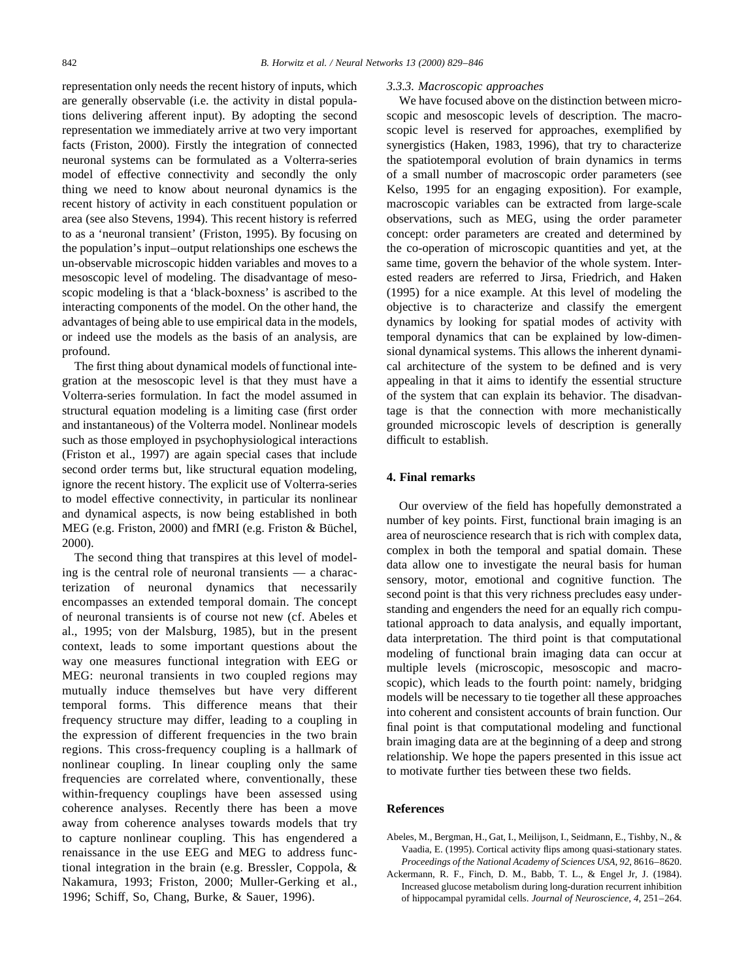representation only needs the recent history of inputs, which are generally observable (i.e. the activity in distal populations delivering afferent input). By adopting the second representation we immediately arrive at two very important facts (Friston, 2000). Firstly the integration of connected neuronal systems can be formulated as a Volterra-series model of effective connectivity and secondly the only thing we need to know about neuronal dynamics is the recent history of activity in each constituent population or area (see also Stevens, 1994). This recent history is referred to as a 'neuronal transient' (Friston, 1995). By focusing on the population's input–output relationships one eschews the un-observable microscopic hidden variables and moves to a mesoscopic level of modeling. The disadvantage of mesoscopic modeling is that a 'black-boxness' is ascribed to the interacting components of the model. On the other hand, the advantages of being able to use empirical data in the models, or indeed use the models as the basis of an analysis, are profound.

The first thing about dynamical models of functional integration at the mesoscopic level is that they must have a Volterra-series formulation. In fact the model assumed in structural equation modeling is a limiting case (first order and instantaneous) of the Volterra model. Nonlinear models such as those employed in psychophysiological interactions (Friston et al., 1997) are again special cases that include second order terms but, like structural equation modeling, ignore the recent history. The explicit use of Volterra-series to model effective connectivity, in particular its nonlinear and dynamical aspects, is now being established in both MEG (e.g. Friston, 2000) and fMRI (e.g. Friston  $& B$  üchel, 2000).

The second thing that transpires at this level of modeling is the central role of neuronal transients — a characterization of neuronal dynamics that necessarily encompasses an extended temporal domain. The concept of neuronal transients is of course not new (cf. Abeles et al., 1995; von der Malsburg, 1985), but in the present context, leads to some important questions about the way one measures functional integration with EEG or MEG: neuronal transients in two coupled regions may mutually induce themselves but have very different temporal forms. This difference means that their frequency structure may differ, leading to a coupling in the expression of different frequencies in the two brain regions. This cross-frequency coupling is a hallmark of nonlinear coupling. In linear coupling only the same frequencies are correlated where, conventionally, these within-frequency couplings have been assessed using coherence analyses. Recently there has been a move away from coherence analyses towards models that try to capture nonlinear coupling. This has engendered a renaissance in the use EEG and MEG to address functional integration in the brain (e.g. Bressler, Coppola, & Nakamura, 1993; Friston, 2000; Muller-Gerking et al., 1996; Schiff, So, Chang, Burke, & Sauer, 1996).

#### *3.3.3. Macroscopic approaches*

We have focused above on the distinction between microscopic and mesoscopic levels of description. The macroscopic level is reserved for approaches, exemplified by synergistics (Haken, 1983, 1996), that try to characterize the spatiotemporal evolution of brain dynamics in terms of a small number of macroscopic order parameters (see Kelso, 1995 for an engaging exposition). For example, macroscopic variables can be extracted from large-scale observations, such as MEG, using the order parameter concept: order parameters are created and determined by the co-operation of microscopic quantities and yet, at the same time, govern the behavior of the whole system. Interested readers are referred to Jirsa, Friedrich, and Haken (1995) for a nice example. At this level of modeling the objective is to characterize and classify the emergent dynamics by looking for spatial modes of activity with temporal dynamics that can be explained by low-dimensional dynamical systems. This allows the inherent dynamical architecture of the system to be defined and is very appealing in that it aims to identify the essential structure of the system that can explain its behavior. The disadvantage is that the connection with more mechanistically grounded microscopic levels of description is generally difficult to establish.

# **4. Final remarks**

Our overview of the field has hopefully demonstrated a number of key points. First, functional brain imaging is an area of neuroscience research that is rich with complex data, complex in both the temporal and spatial domain. These data allow one to investigate the neural basis for human sensory, motor, emotional and cognitive function. The second point is that this very richness precludes easy understanding and engenders the need for an equally rich computational approach to data analysis, and equally important, data interpretation. The third point is that computational modeling of functional brain imaging data can occur at multiple levels (microscopic, mesoscopic and macroscopic), which leads to the fourth point: namely, bridging models will be necessary to tie together all these approaches into coherent and consistent accounts of brain function. Our final point is that computational modeling and functional brain imaging data are at the beginning of a deep and strong relationship. We hope the papers presented in this issue act to motivate further ties between these two fields.

#### **References**

- Abeles, M., Bergman, H., Gat, I., Meilijson, I., Seidmann, E., Tishby, N., & Vaadia, E. (1995). Cortical activity flips among quasi-stationary states. *Proceedings of the National Academy of Sciences USA*, *92*, 8616–8620.
- Ackermann, R. F., Finch, D. M., Babb, T. L., & Engel Jr, J. (1984). Increased glucose metabolism during long-duration recurrent inhibition of hippocampal pyramidal cells. *Journal of Neuroscience*, *4*, 251–264.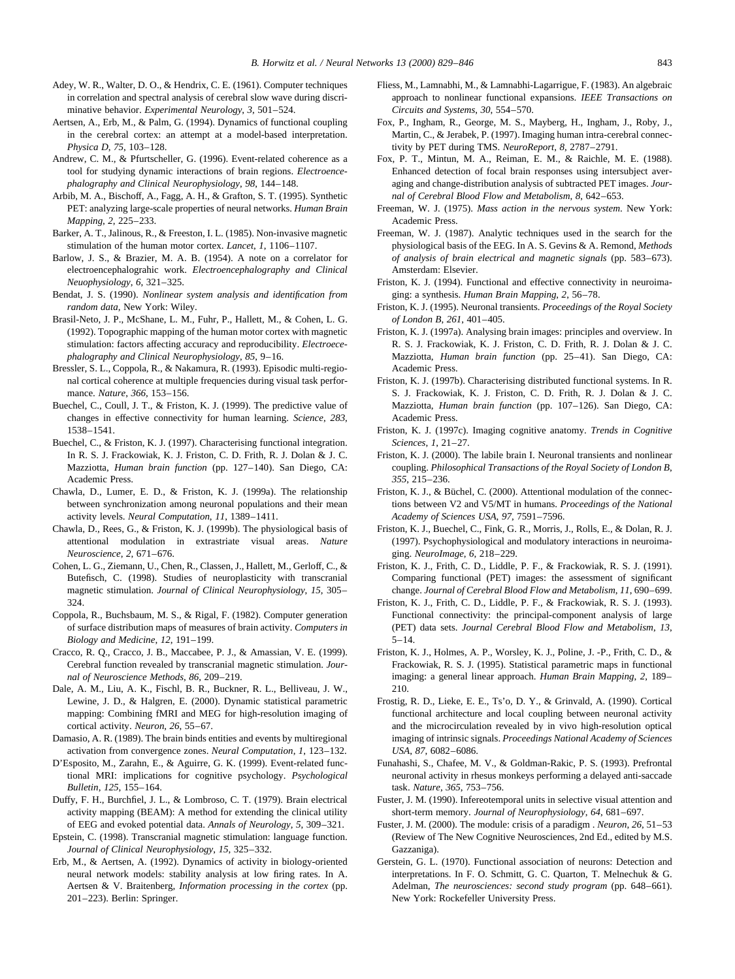- Adey, W. R., Walter, D. O., & Hendrix, C. E. (1961). Computer techniques in correlation and spectral analysis of cerebral slow wave during discriminative behavior. *Experimental Neurology*, *3*, 501–524.
- Aertsen, A., Erb, M., & Palm, G. (1994). Dynamics of functional coupling in the cerebral cortex: an attempt at a model-based interpretation. *Physica D*, *75*, 103–128.
- Andrew, C. M., & Pfurtscheller, G. (1996). Event-related coherence as a tool for studying dynamic interactions of brain regions. *Electroencephalography and Clinical Neurophysiology*, *98*, 144–148.
- Arbib, M. A., Bischoff, A., Fagg, A. H., & Grafton, S. T. (1995). Synthetic PET: analyzing large-scale properties of neural networks. *Human Brain Mapping*, *2*, 225–233.
- Barker, A. T., Jalinous, R., & Freeston, I. L. (1985). Non-invasive magnetic stimulation of the human motor cortex. *Lancet*, *1*, 1106–1107.
- Barlow, J. S., & Brazier, M. A. B. (1954). A note on a correlator for electroencephalograhic work. *Electroencephalography and Clinical Neuophysiology*, *6*, 321–325.
- Bendat, J. S. (1990). *Nonlinear system analysis and identification from random data*, New York: Wiley.
- Brasil-Neto, J. P., McShane, L. M., Fuhr, P., Hallett, M., & Cohen, L. G. (1992). Topographic mapping of the human motor cortex with magnetic stimulation: factors affecting accuracy and reproducibility. *Electroecephalography and Clinical Neurophysiology*, *85*, 9–16.
- Bressler, S. L., Coppola, R., & Nakamura, R. (1993). Episodic multi-regional cortical coherence at multiple frequencies during visual task performance. *Nature*, *366*, 153–156.
- Buechel, C., Coull, J. T., & Friston, K. J. (1999). The predictive value of changes in effective connectivity for human learning. *Science*, *283*, 1538–1541.
- Buechel, C., & Friston, K. J. (1997). Characterising functional integration. In R. S. J. Frackowiak, K. J. Friston, C. D. Frith, R. J. Dolan & J. C. Mazziotta, *Human brain function* (pp. 127–140). San Diego, CA: Academic Press.
- Chawla, D., Lumer, E. D., & Friston, K. J. (1999a). The relationship between synchronization among neuronal populations and their mean activity levels. *Neural Computation*, *11*, 1389–1411.
- Chawla, D., Rees, G., & Friston, K. J. (1999b). The physiological basis of attentional modulation in extrastriate visual areas. *Nature Neuroscience*, *2*, 671–676.
- Cohen, L. G., Ziemann, U., Chen, R., Classen, J., Hallett, M., Gerloff, C., & Butefisch, C. (1998). Studies of neuroplasticity with transcranial magnetic stimulation. *Journal of Clinical Neurophysiology*, *15*, 305– 324.
- Coppola, R., Buchsbaum, M. S., & Rigal, F. (1982). Computer generation of surface distribution maps of measures of brain activity. *Computers in Biology and Medicine*, *12*, 191–199.
- Cracco, R. Q., Cracco, J. B., Maccabee, P. J., & Amassian, V. E. (1999). Cerebral function revealed by transcranial magnetic stimulation. *Journal of Neuroscience Methods*, *86*, 209–219.
- Dale, A. M., Liu, A. K., Fischl, B. R., Buckner, R. L., Belliveau, J. W., Lewine, J. D., & Halgren, E. (2000). Dynamic statistical parametric mapping: Combining fMRI and MEG for high-resolution imaging of cortical activity. *Neuron*, *26*, 55–67.
- Damasio, A. R. (1989). The brain binds entities and events by multiregional activation from convergence zones. *Neural Computation*, *1*, 123–132.
- D'Esposito, M., Zarahn, E., & Aguirre, G. K. (1999). Event-related functional MRI: implications for cognitive psychology. *Psychological Bulletin*, *125*, 155–164.
- Duffy, F. H., Burchfiel, J. L., & Lombroso, C. T. (1979). Brain electrical activity mapping (BEAM): A method for extending the clinical utility of EEG and evoked potential data. *Annals of Neurology*, *5*, 309–321.
- Epstein, C. (1998). Transcranial magnetic stimulation: language function. *Journal of Clinical Neurophysiology*, *15*, 325–332.
- Erb, M., & Aertsen, A. (1992). Dynamics of activity in biology-oriented neural network models: stability analysis at low firing rates. In A. Aertsen & V. Braitenberg, *Information processing in the cortex* (pp. 201–223). Berlin: Springer.
- Fliess, M., Lamnabhi, M., & Lamnabhi-Lagarrigue, F. (1983). An algebraic approach to nonlinear functional expansions. *IEEE Transactions on Circuits and Systems*, *30*, 554–570.
- Fox, P., Ingham, R., George, M. S., Mayberg, H., Ingham, J., Roby, J., Martin, C., & Jerabek, P. (1997). Imaging human intra-cerebral connectivity by PET during TMS. *NeuroReport*, *8*, 2787–2791.
- Fox, P. T., Mintun, M. A., Reiman, E. M., & Raichle, M. E. (1988). Enhanced detection of focal brain responses using intersubject averaging and change-distribution analysis of subtracted PET images. *Journal of Cerebral Blood Flow and Metabolism*, *8*, 642–653.
- Freeman, W. J. (1975). *Mass action in the nervous system*. New York: Academic Press.
- Freeman, W. J. (1987). Analytic techniques used in the search for the physiological basis of the EEG. In A. S. Gevins & A. Remond, *Methods of analysis of brain electrical and magnetic signals* (pp. 583–673). Amsterdam: Elsevier.
- Friston, K. J. (1994). Functional and effective connectivity in neuroimaging: a synthesis. *Human Brain Mapping*, *2*, 56–78.
- Friston, K. J. (1995). Neuronal transients. *Proceedings of the Royal Society of London B*, *261*, 401–405.
- Friston, K. J. (1997a). Analysing brain images: principles and overview. In R. S. J. Frackowiak, K. J. Friston, C. D. Frith, R. J. Dolan & J. C. Mazziotta, *Human brain function* (pp. 25–41). San Diego, CA: Academic Press.
- Friston, K. J. (1997b). Characterising distributed functional systems. In R. S. J. Frackowiak, K. J. Friston, C. D. Frith, R. J. Dolan & J. C. Mazziotta, *Human brain function* (pp. 107–126). San Diego, CA: Academic Press.
- Friston, K. J. (1997c). Imaging cognitive anatomy. *Trends in Cognitive Sciences*, *1*, 21–27.
- Friston, K. J. (2000). The labile brain I. Neuronal transients and nonlinear coupling. *Philosophical Transactions of the Royal Society of London B*, *355*, 215–236.
- Friston, K. J., & Büchel, C. (2000). Attentional modulation of the connections between V2 and V5/MT in humans. *Proceedings of the National Academy of Sciences USA*, *97*, 7591–7596.
- Friston, K. J., Buechel, C., Fink, G. R., Morris, J., Rolls, E., & Dolan, R. J. (1997). Psychophysiological and modulatory interactions in neuroimaging. *NeuroImage*, *6*, 218–229.
- Friston, K. J., Frith, C. D., Liddle, P. F., & Frackowiak, R. S. J. (1991). Comparing functional (PET) images: the assessment of significant change. *Journal of Cerebral Blood Flow and Metabolism*, *11*, 690–699.
- Friston, K. J., Frith, C. D., Liddle, P. F., & Frackowiak, R. S. J. (1993). Functional connectivity: the principal-component analysis of large (PET) data sets. *Journal Cerebral Blood Flow and Metabolism*, *13*, 5–14.
- Friston, K. J., Holmes, A. P., Worsley, K. J., Poline, J. -P., Frith, C. D., & Frackowiak, R. S. J. (1995). Statistical parametric maps in functional imaging: a general linear approach. *Human Brain Mapping*, *2*, 189– 210.
- Frostig, R. D., Lieke, E. E., Ts'o, D. Y., & Grinvald, A. (1990). Cortical functional architecture and local coupling between neuronal activity and the microcirculation revealed by in vivo high-resolution optical imaging of intrinsic signals. *Proceedings National Academy of Sciences USA*, *87*, 6082–6086.
- Funahashi, S., Chafee, M. V., & Goldman-Rakic, P. S. (1993). Prefrontal neuronal activity in rhesus monkeys performing a delayed anti-saccade task. *Nature*, *365*, 753–756.
- Fuster, J. M. (1990). Infereotemporal units in selective visual attention and short-term memory. *Journal of Neurophysiology*, *64*, 681–697.
- Fuster, J. M. (2000). The module: crisis of a paradigm . *Neuron*, *26*, 51–53 (Review of The New Cognitive Neurosciences, 2nd Ed., edited by M.S. Gazzaniga).
- Gerstein, G. L. (1970). Functional association of neurons: Detection and interpretations. In F. O. Schmitt, G. C. Quarton, T. Melnechuk & G. Adelman, *The neurosciences: second study program* (pp. 648–661). New York: Rockefeller University Press.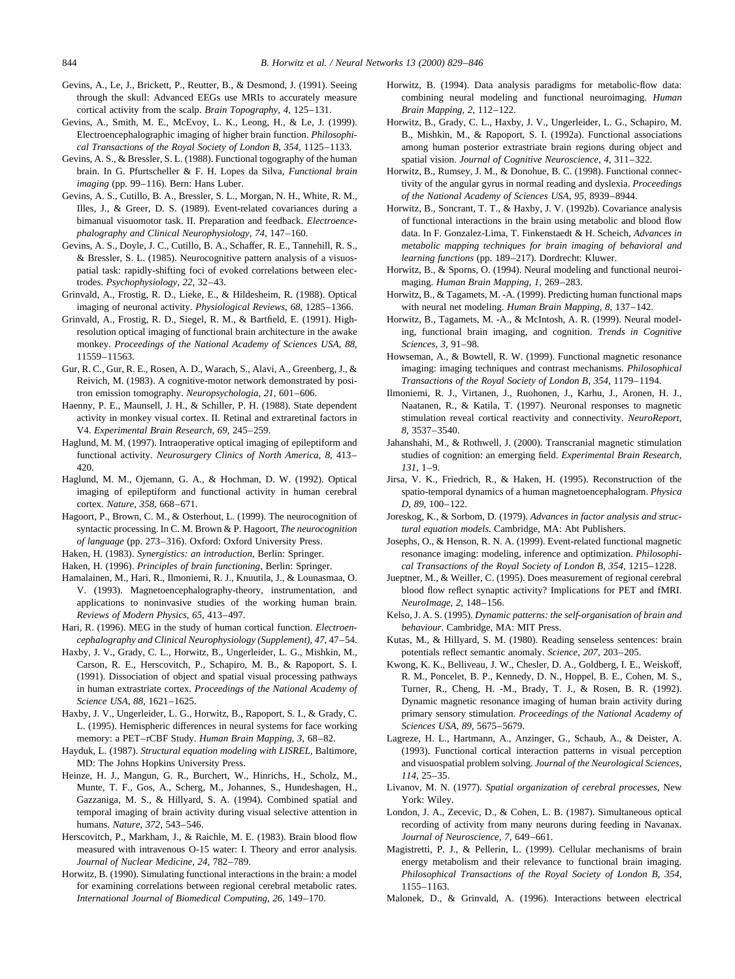- Gevins, A., Le, J., Brickett, P., Reutter, B., & Desmond, J. (1991). Seeing through the skull: Advanced EEGs use MRIs to accurately measure cortical activity from the scalp. *Brain Topography*, *4*, 125–131.
- Gevins, A., Smith, M. E., McEvoy, L. K., Leong, H., & Le, J. (1999). Electroencephalographic imaging of higher brain function. *Philosophical Transactions of the Royal Society of London B*, *354*, 1125–1133.
- Gevins, A. S., & Bressler, S. L. (1988). Functional togography of the human brain. In G. Pfurtscheller & F. H. Lopes da Silva, *Functional brain imaging* (pp. 99–116). Bern: Hans Luber.
- Gevins, A. S., Cutillo, B. A., Bressler, S. L., Morgan, N. H., White, R. M., Illes, J., & Greer, D. S. (1989). Event-related covariances during a bimanual visuomotor task. II. Preparation and feedback. *Electroencephalography and Clinical Neurophysiology*, *74*, 147–160.
- Gevins, A. S., Doyle, J. C., Cutillo, B. A., Schaffer, R. E., Tannehill, R. S., & Bressler, S. L. (1985). Neurocognitive pattern analysis of a visuospatial task: rapidly-shifting foci of evoked correlations between electrodes. *Psychophysiology*, *22*, 32–43.
- Grinvald, A., Frostig, R. D., Lieke, E., & Hildesheim, R. (1988). Optical imaging of neuronal activity. *Physiological Reviews*, *68*, 1285–1366.
- Grinvald, A., Frostig, R. D., Siegel, R. M., & Bartfield, E. (1991). Highresolution optical imaging of functional brain architecture in the awake monkey. *Proceedings of the National Academy of Sciences USA*, *88*, 11559–11563.
- Gur, R. C., Gur, R. E., Rosen, A. D., Warach, S., Alavi, A., Greenberg, J., & Reivich, M. (1983). A cognitive-motor network demonstrated by positron emission tomography. *Neuropsychologia*, *21*, 601–606.
- Haenny, P. E., Maunsell, J. H., & Schiller, P. H. (1988). State dependent activity in monkey visual cortex. II. Retinal and extraretinal factors in V4. *Experimental Brain Research*, *69*, 245–259.
- Haglund, M. M. (1997). Intraoperative optical imaging of epileptiform and functional activity. *Neurosurgery Clinics of North America*, *8*, 413– 420.
- Haglund, M. M., Ojemann, G. A., & Hochman, D. W. (1992). Optical imaging of epileptiform and functional activity in human cerebral cortex. *Nature*, *358*, 668–671.
- Hagoort, P., Brown, C. M., & Osterhout, L. (1999). The neurocognition of syntactic processing. In C. M. Brown & P. Hagoort, *The neurocognition of language* (pp. 273–316). Oxford: Oxford University Press.
- Haken, H. (1983). *Synergistics: an introduction*, Berlin: Springer.

Haken, H. (1996). *Principles of brain functioning*, Berlin: Springer.

- Hamalainen, M., Hari, R., Ilmoniemi, R. J., Knuutila, J., & Lounasmaa, O. V. (1993). Magnetoencephalography-theory, instrumentation, and applications to noninvasive studies of the working human brain. *Reviews of Modern Physics*, *65*, 413–497.
- Hari, R. (1996). MEG in the study of human cortical function. *Electroencephalography and Clinical Neurophysiology (Supplement)*, *47*, 47–54.
- Haxby, J. V., Grady, C. L., Horwitz, B., Ungerleider, L. G., Mishkin, M., Carson, R. E., Herscovitch, P., Schapiro, M. B., & Rapoport, S. I. (1991). Dissociation of object and spatial visual processing pathways in human extrastriate cortex. *Proceedings of the National Academy of Science USA*, *88*, 1621–1625.
- Haxby, J. V., Ungerleider, L. G., Horwitz, B., Rapoport, S. I., & Grady, C. L. (1995). Hemispheric differences in neural systems for face working memory: a PET–rCBF Study. *Human Brain Mapping*, *3*, 68–82.
- Hayduk, L. (1987). *Structural equation modeling with LISREL*, Baltimore, MD: The Johns Hopkins University Press.
- Heinze, H. J., Mangun, G. R., Burchert, W., Hinrichs, H., Scholz, M., Munte, T. F., Gos, A., Scherg, M., Johannes, S., Hundeshagen, H., Gazzaniga, M. S., & Hillyard, S. A. (1994). Combined spatial and temporal imaging of brain activity during visual selective attention in humans. *Nature*, *372*, 543–546.
- Herscovitch, P., Markham, J., & Raichle, M. E. (1983). Brain blood flow measured with intravenous O-15 water: I. Theory and error analysis. *Journal of Nuclear Medicine*, *24*, 782–789.
- Horwitz, B. (1990). Simulating functional interactions in the brain: a model for examining correlations between regional cerebral metabolic rates. *International Journal of Biomedical Computing*, *26*, 149–170.
- Horwitz, B. (1994). Data analysis paradigms for metabolic-flow data: combining neural modeling and functional neuroimaging. *Human Brain Mapping*, *2*, 112–122.
- Horwitz, B., Grady, C. L., Haxby, J. V., Ungerleider, L. G., Schapiro, M. B., Mishkin, M., & Rapoport, S. I. (1992a). Functional associations among human posterior extrastriate brain regions during object and spatial vision. *Journal of Cognitive Neuroscience*, *4*, 311–322.
- Horwitz, B., Rumsey, J. M., & Donohue, B. C. (1998). Functional connectivity of the angular gyrus in normal reading and dyslexia. *Proceedings of the National Academy of Sciences USA*, *95*, 8939–8944.
- Horwitz, B., Soncrant, T. T., & Haxby, J. V. (1992b). Covariance analysis of functional interactions in the brain using metabolic and blood flow data. In F. Gonzalez-Lima, T. Finkenstaedt & H. Scheich, *Advances in metabolic mapping techniques for brain imaging of behavioral and learning functions* (pp. 189–217). Dordrecht: Kluwer.
- Horwitz, B., & Sporns, O. (1994). Neural modeling and functional neuroimaging. *Human Brain Mapping*, *1*, 269–283.
- Horwitz, B., & Tagamets, M. -A. (1999). Predicting human functional maps with neural net modeling. *Human Brain Mapping*, *8*, 137–142.
- Horwitz, B., Tagamets, M. -A., & McIntosh, A. R. (1999). Neural modeling, functional brain imaging, and cognition. *Trends in Cognitive Sciences*, *3*, 91–98.
- Howseman, A., & Bowtell, R. W. (1999). Functional magnetic resonance imaging: imaging techniques and contrast mechanisms. *Philosophical Transactions of the Royal Society of London B*, *354*, 1179–1194.
- Ilmoniemi, R. J., Virtanen, J., Ruohonen, J., Karhu, J., Aronen, H. J., Naatanen, R., & Katila, T. (1997). Neuronal responses to magnetic stimulation reveal cortical reactivity and connectivity. *NeuroReport*, *8*, 3537–3540.
- Jahanshahi, M., & Rothwell, J. (2000). Transcranial magnetic stimulation studies of cognition: an emerging field. *Experimental Brain Research*, *131*, 1–9.
- Jirsa, V. K., Friedrich, R., & Haken, H. (1995). Reconstruction of the spatio-temporal dynamics of a human magnetoencephalogram. *Physica D*, *89*, 100–122.
- Joreskog, K., & Sorbom, D. (1979). *Advances in factor analysis and structural equation models*. Cambridge, MA: Abt Publishers.
- Josephs, O., & Henson, R. N. A. (1999). Event-related functional magnetic resonance imaging: modeling, inference and optimization. *Philosophical Transactions of the Royal Society of London B*, *354*, 1215–1228.
- Jueptner, M., & Weiller, C. (1995). Does measurement of regional cerebral blood flow reflect synaptic activity? Implications for PET and fMRI. *NeuroImage*, *2*, 148–156.
- Kelso, J. A. S. (1995). *Dynamic patterns: the self-organisation of brain and behaviour*. Cambridge, MA: MIT Press.
- Kutas, M., & Hillyard, S. M. (1980). Reading senseless sentences: brain potentials reflect semantic anomaly. *Science*, *207*, 203–205.
- Kwong, K. K., Belliveau, J. W., Chesler, D. A., Goldberg, I. E., Weiskoff, R. M., Poncelet, B. P., Kennedy, D. N., Hoppel, B. E., Cohen, M. S., Turner, R., Cheng, H. -M., Brady, T. J., & Rosen, B. R. (1992). Dynamic magnetic resonance imaging of human brain activity during primary sensory stimulation. *Proceedings of the National Academy of Sciences USA*, *89*, 5675–5679.
- Lagreze, H. L., Hartmann, A., Anzinger, G., Schaub, A., & Deister, A. (1993). Functional cortical interaction patterns in visual perception and visuospatial problem solving. *Journal of the Neurological Sciences*, *114*, 25–35.
- Livanov, M. N. (1977). *Spatial organization of cerebral processes*, New York: Wiley.
- London, J. A., Zecevic, D., & Cohen, L. B. (1987). Simultaneous optical recording of activity from many neurons during feeding in Navanax. *Journal of Neuroscience*, *7*, 649–661.
- Magistretti, P. J., & Pellerin, L. (1999). Cellular mechanisms of brain energy metabolism and their relevance to functional brain imaging. *Philosophical Transactions of the Royal Society of London B*, *354*, 1155–1163.
- Malonek, D., & Grinvald, A. (1996). Interactions between electrical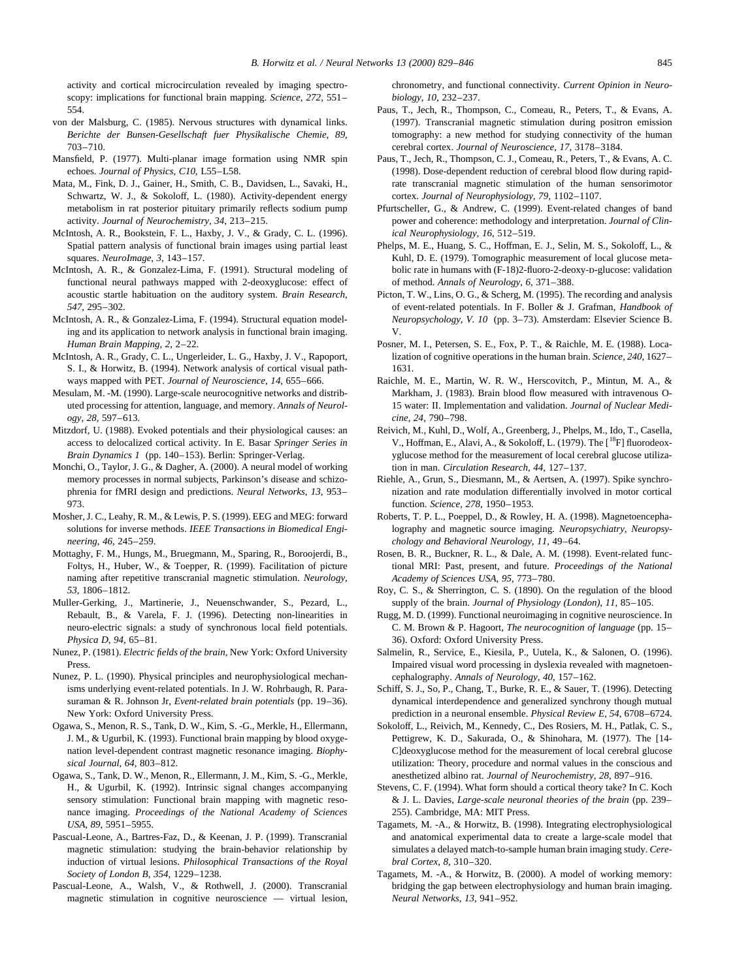activity and cortical microcirculation revealed by imaging spectroscopy: implications for functional brain mapping. *Science*, *272*, 551– 554.

- von der Malsburg, C. (1985). Nervous structures with dynamical links. *Berichte der Bunsen-Gesellschaft fuer Physikalische Chemie*, *89*, 703–710.
- Mansfield, P. (1977). Multi-planar image formation using NMR spin echoes. *Journal of Physics*, *C10*, L55–L58.
- Mata, M., Fink, D. J., Gainer, H., Smith, C. B., Davidsen, L., Savaki, H., Schwartz, W. J., & Sokoloff, L. (1980). Activity-dependent energy metabolism in rat posterior pituitary primarily reflects sodium pump activity. *Journal of Neurochemistry*, *34*, 213–215.
- McIntosh, A. R., Bookstein, F. L., Haxby, J. V., & Grady, C. L. (1996). Spatial pattern analysis of functional brain images using partial least squares. *NeuroImage*, *3*, 143–157.
- McIntosh, A. R., & Gonzalez-Lima, F. (1991). Structural modeling of functional neural pathways mapped with 2-deoxyglucose: effect of acoustic startle habituation on the auditory system. *Brain Research*, *547*, 295–302.
- McIntosh, A. R., & Gonzalez-Lima, F. (1994). Structural equation modeling and its application to network analysis in functional brain imaging. *Human Brain Mapping*, *2*, 2–22.
- McIntosh, A. R., Grady, C. L., Ungerleider, L. G., Haxby, J. V., Rapoport, S. I., & Horwitz, B. (1994). Network analysis of cortical visual pathways mapped with PET. *Journal of Neuroscience*, *14*, 655–666.
- Mesulam, M. -M. (1990). Large-scale neurocognitive networks and distributed processing for attention, language, and memory. *Annals of Neurology*, *28*, 597–613.
- Mitzdorf, U. (1988). Evoked potentials and their physiological causes: an access to delocalized cortical activity. In E. Basar *Springer Series in Brain Dynamics 1* (pp. 140–153). Berlin: Springer-Verlag.
- Monchi, O., Taylor, J. G., & Dagher, A. (2000). A neural model of working memory processes in normal subjects, Parkinson's disease and schizophrenia for fMRI design and predictions. *Neural Networks*, *13*, 953– 973.
- Mosher, J. C., Leahy, R. M., & Lewis, P. S. (1999). EEG and MEG: forward solutions for inverse methods. *IEEE Transactions in Biomedical Engineering*, *46*, 245–259.
- Mottaghy, F. M., Hungs, M., Bruegmann, M., Sparing, R., Boroojerdi, B., Foltys, H., Huber, W., & Toepper, R. (1999). Facilitation of picture naming after repetitive transcranial magnetic stimulation. *Neurology*, *53*, 1806–1812.
- Muller-Gerking, J., Martinerie, J., Neuenschwander, S., Pezard, L., Rebault, B., & Varela, F. J. (1996). Detecting non-linearities in neuro-electric signals: a study of synchronous local field potentials. *Physica D*, *94*, 65–81.
- Nunez, P. (1981). *Electric fields of the brain*, New York: Oxford University Press.
- Nunez, P. L. (1990). Physical principles and neurophysiological mechanisms underlying event-related potentials. In J. W. Rohrbaugh, R. Parasuraman & R. Johnson Jr, *Event-related brain potentials* (pp. 19–36). New York: Oxford University Press.
- Ogawa, S., Menon, R. S., Tank, D. W., Kim, S. -G., Merkle, H., Ellermann, J. M., & Ugurbil, K. (1993). Functional brain mapping by blood oxygenation level-dependent contrast magnetic resonance imaging. *Biophysical Journal*, *64*, 803–812.
- Ogawa, S., Tank, D. W., Menon, R., Ellermann, J. M., Kim, S. -G., Merkle, H., & Ugurbil, K. (1992). Intrinsic signal changes accompanying sensory stimulation: Functional brain mapping with magnetic resonance imaging. *Proceedings of the National Academy of Sciences USA*, *89*, 5951–5955.
- Pascual-Leone, A., Bartres-Faz, D., & Keenan, J. P. (1999). Transcranial magnetic stimulation: studying the brain-behavior relationship by induction of virtual lesions. *Philosophical Transactions of the Royal Society of London B*, *354*, 1229–1238.
- Pascual-Leone, A., Walsh, V., & Rothwell, J. (2000). Transcranial magnetic stimulation in cognitive neuroscience — virtual lesion,

chronometry, and functional connectivity. *Current Opinion in Neurobiology*, *10*, 232–237.

- Paus, T., Jech, R., Thompson, C., Comeau, R., Peters, T., & Evans, A. (1997). Transcranial magnetic stimulation during positron emission tomography: a new method for studying connectivity of the human cerebral cortex. *Journal of Neuroscience*, *17*, 3178–3184.
- Paus, T., Jech, R., Thompson, C. J., Comeau, R., Peters, T., & Evans, A. C. (1998). Dose-dependent reduction of cerebral blood flow during rapidrate transcranial magnetic stimulation of the human sensorimotor cortex. *Journal of Neurophysiology*, *79*, 1102–1107.
- Pfurtscheller, G., & Andrew, C. (1999). Event-related changes of band power and coherence: methodology and interpretation. *Journal of Clinical Neurophysiology*, *16*, 512–519.
- Phelps, M. E., Huang, S. C., Hoffman, E. J., Selin, M. S., Sokoloff, L., & Kuhl, D. E. (1979). Tomographic measurement of local glucose metabolic rate in humans with (F-18)2-fluoro-2-deoxy-D-glucose: validation of method. *Annals of Neurology*, *6*, 371–388.
- Picton, T. W., Lins, O. G., & Scherg, M. (1995). The recording and analysis of event-related potentials. In F. Boller & J. Grafman, *Handbook of Neuropsychology, V. 10* (pp. 3–73). Amsterdam: Elsevier Science B. V.
- Posner, M. I., Petersen, S. E., Fox, P. T., & Raichle, M. E. (1988). Localization of cognitive operations in the human brain. *Science*, *240*, 1627– 1631.
- Raichle, M. E., Martin, W. R. W., Herscovitch, P., Mintun, M. A., & Markham, J. (1983). Brain blood flow measured with intravenous O-15 water: II. Implementation and validation. *Journal of Nuclear Medicine*, *24*, 790–798.
- Reivich, M., Kuhl, D., Wolf, A., Greenberg, J., Phelps, M., Ido, T., Casella, V., Hoffman, E., Alavi, A., & Sokoloff, L. (1979). The  $\lceil {^{18}F} \rceil$  fluorodeoxyglucose method for the measurement of local cerebral glucose utilization in man. *Circulation Research*, *44*, 127–137.
- Riehle, A., Grun, S., Diesmann, M., & Aertsen, A. (1997). Spike synchronization and rate modulation differentially involved in motor cortical function. *Science*, *278*, 1950–1953.
- Roberts, T. P. L., Poeppel, D., & Rowley, H. A. (1998). Magnetoencephalography and magnetic source imaging. *Neuropsychiatry, Neuropsychology and Behavioral Neurology*, *11*, 49–64.
- Rosen, B. R., Buckner, R. L., & Dale, A. M. (1998). Event-related functional MRI: Past, present, and future. *Proceedings of the National Academy of Sciences USA*, *95*, 773–780.
- Roy, C. S., & Sherrington, C. S. (1890). On the regulation of the blood supply of the brain. *Journal of Physiology (London)*, *11*, 85–105.
- Rugg, M. D. (1999). Functional neuroimaging in cognitive neuroscience. In C. M. Brown & P. Hagoort, *The neurocognition of language* (pp. 15– 36). Oxford: Oxford University Press.
- Salmelin, R., Service, E., Kiesila, P., Uutela, K., & Salonen, O. (1996). Impaired visual word processing in dyslexia revealed with magnetoencephalography. *Annals of Neurology*, *40*, 157–162.
- Schiff, S. J., So, P., Chang, T., Burke, R. E., & Sauer, T. (1996). Detecting dynamical interdependence and generalized synchrony though mutual prediction in a neuronal ensemble. *Physical Review E*, *54*, 6708–6724.
- Sokoloff, L., Reivich, M., Kennedy, C., Des Rosiers, M. H., Patlak, C. S., Pettigrew, K. D., Sakurada, O., & Shinohara, M. (1977). The [14- C]deoxyglucose method for the measurement of local cerebral glucose utilization: Theory, procedure and normal values in the conscious and anesthetized albino rat. *Journal of Neurochemistry*, *28*, 897–916.
- Stevens, C. F. (1994). What form should a cortical theory take? In C. Koch & J. L. Davies, *Large-scale neuronal theories of the brain* (pp. 239– 255). Cambridge, MA: MIT Press.
- Tagamets, M. -A., & Horwitz, B. (1998). Integrating electrophysiological and anatomical experimental data to create a large-scale model that simulates a delayed match-to-sample human brain imaging study. *Cerebral Cortex*, *8*, 310–320.
- Tagamets, M. -A., & Horwitz, B. (2000). A model of working memory: bridging the gap between electrophysiology and human brain imaging. *Neural Networks*, *13*, 941–952.